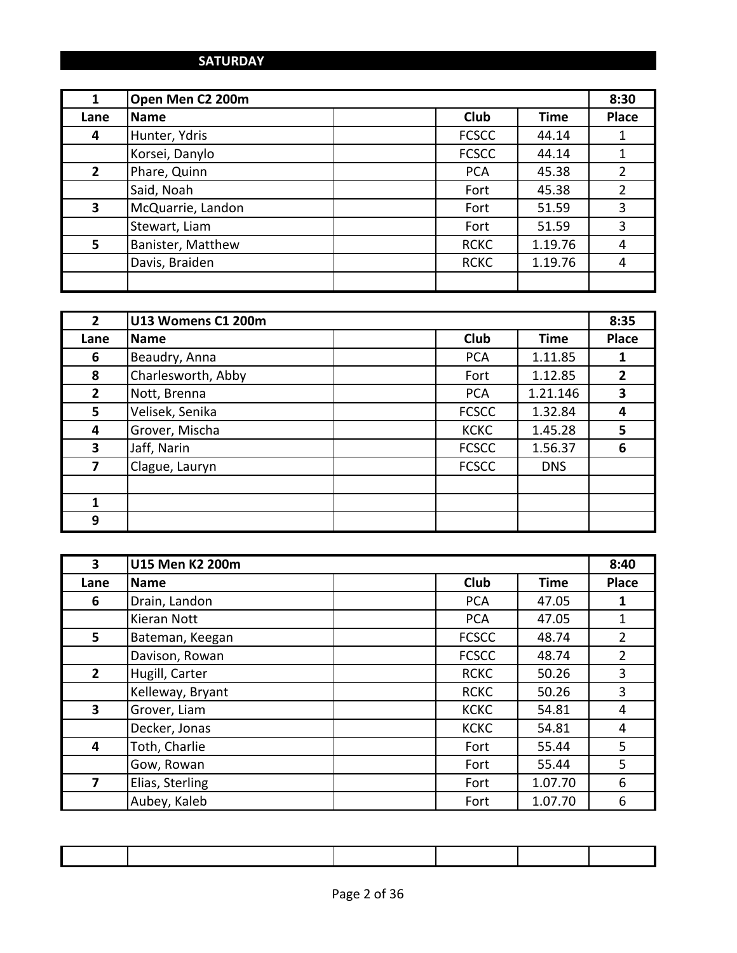#### **SATURDAY**

| 1            | Open Men C2 200m  |              |             | 8:30           |
|--------------|-------------------|--------------|-------------|----------------|
| Lane         | <b>Name</b>       | <b>Club</b>  | <b>Time</b> | <b>Place</b>   |
| 4            | Hunter, Ydris     | <b>FCSCC</b> | 44.14       |                |
|              | Korsei, Danylo    | <b>FCSCC</b> | 44.14       | 1              |
| $\mathbf{2}$ | Phare, Quinn      | <b>PCA</b>   | 45.38       | $\overline{2}$ |
|              | Said, Noah        | Fort         | 45.38       | $\overline{2}$ |
| 3            | McQuarrie, Landon | Fort         | 51.59       | 3              |
|              | Stewart, Liam     | Fort         | 51.59       | 3              |
| 5            | Banister, Matthew | <b>RCKC</b>  | 1.19.76     | 4              |
|              | Davis, Braiden    | <b>RCKC</b>  | 1.19.76     | 4              |
|              |                   |              |             |                |

| $\overline{2}$ | U13 Womens C1 200m |              |             | 8:35         |
|----------------|--------------------|--------------|-------------|--------------|
| Lane           | Name               | <b>Club</b>  | <b>Time</b> | <b>Place</b> |
| 6              | Beaudry, Anna      | <b>PCA</b>   | 1.11.85     |              |
| 8              | Charlesworth, Abby | Fort         | 1.12.85     | 2            |
| $\overline{2}$ | Nott, Brenna       | <b>PCA</b>   | 1.21.146    | 3            |
| 5              | Velisek, Senika    | <b>FCSCC</b> | 1.32.84     | 4            |
| 4              | Grover, Mischa     | <b>KCKC</b>  | 1.45.28     | 5            |
| 3              | Jaff, Narin        | <b>FCSCC</b> | 1.56.37     | 6            |
| 7              | Clague, Lauryn     | <b>FCSCC</b> | <b>DNS</b>  |              |
|                |                    |              |             |              |
| $\mathbf{1}$   |                    |              |             |              |
| 9              |                    |              |             |              |

| 3           | U15 Men K2 200m  |              |             | 8:40           |
|-------------|------------------|--------------|-------------|----------------|
| Lane        | <b>Name</b>      | <b>Club</b>  | <b>Time</b> | <b>Place</b>   |
| 6           | Drain, Landon    | <b>PCA</b>   | 47.05       | 1              |
|             | Kieran Nott      | <b>PCA</b>   | 47.05       | $\mathbf{1}$   |
| 5           | Bateman, Keegan  | <b>FCSCC</b> | 48.74       | $\overline{2}$ |
|             | Davison, Rowan   | <b>FCSCC</b> | 48.74       | $\overline{2}$ |
| $2^{\circ}$ | Hugill, Carter   | <b>RCKC</b>  | 50.26       | 3              |
|             | Kelleway, Bryant | <b>RCKC</b>  | 50.26       | 3              |
| 3           | Grover, Liam     | <b>KCKC</b>  | 54.81       | 4              |
|             | Decker, Jonas    | <b>KCKC</b>  | 54.81       | 4              |
| 4           | Toth, Charlie    | Fort         | 55.44       | 5              |
|             | Gow, Rowan       | Fort         | 55.44       | 5              |
| 7           | Elias, Sterling  | Fort         | 1.07.70     | 6              |
|             | Aubey, Kaleb     | Fort         | 1.07.70     | 6              |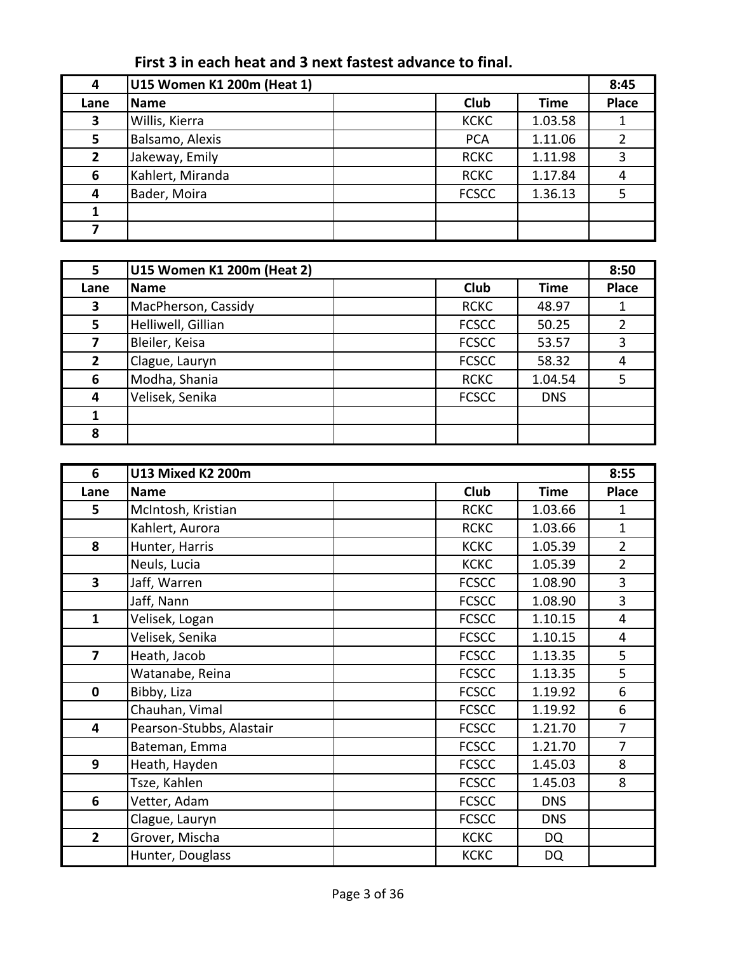# First 3 in each heat and 3 next fastest advance to final.

| 4            | U15 Women K1 200m (Heat 1) |              |             | 8:45         |
|--------------|----------------------------|--------------|-------------|--------------|
| Lane         | Name                       | Club         | <b>Time</b> | <b>Place</b> |
| 3            | Willis, Kierra             | <b>KCKC</b>  | 1.03.58     |              |
| 5.           | Balsamo, Alexis            | <b>PCA</b>   | 1.11.06     |              |
| $\mathbf{2}$ | Jakeway, Emily             | <b>RCKC</b>  | 1.11.98     | 3            |
| 6            | Kahlert, Miranda           | <b>RCKC</b>  | 1.17.84     | 4            |
| 4            | Bader, Moira               | <b>FCSCC</b> | 1.36.13     |              |
|              |                            |              |             |              |
|              |                            |              |             |              |

| 5              | U15 Women K1 200m (Heat 2) |              |             | 8:50         |
|----------------|----------------------------|--------------|-------------|--------------|
| Lane           | <b>Name</b>                | <b>Club</b>  | <b>Time</b> | <b>Place</b> |
| 3              | MacPherson, Cassidy        | <b>RCKC</b>  | 48.97       |              |
| 5              | Helliwell, Gillian         | <b>FCSCC</b> | 50.25       |              |
|                | Bleiler, Keisa             | <b>FCSCC</b> | 53.57       | 3            |
| $\overline{2}$ | Clague, Lauryn             | <b>FCSCC</b> | 58.32       |              |
| 6              | Modha, Shania              | <b>RCKC</b>  | 1.04.54     | .5           |
| 4              | Velisek, Senika            | <b>FCSCC</b> | <b>DNS</b>  |              |
|                |                            |              |             |              |
| 8              |                            |              |             |              |

| 6                       | U13 Mixed K2 200m        |              |             | 8:55           |
|-------------------------|--------------------------|--------------|-------------|----------------|
| Lane                    | Name                     | Club         | <b>Time</b> | <b>Place</b>   |
| 5                       | McIntosh, Kristian       | <b>RCKC</b>  | 1.03.66     | 1              |
|                         | Kahlert, Aurora          | <b>RCKC</b>  | 1.03.66     | $\mathbf{1}$   |
| 8                       | Hunter, Harris           | <b>KCKC</b>  | 1.05.39     | $\overline{2}$ |
|                         | Neuls, Lucia             | <b>KCKC</b>  | 1.05.39     | $\overline{2}$ |
| 3                       | Jaff, Warren             | <b>FCSCC</b> | 1.08.90     | 3              |
|                         | Jaff, Nann               | <b>FCSCC</b> | 1.08.90     | 3              |
| $\mathbf{1}$            | Velisek, Logan           | <b>FCSCC</b> | 1.10.15     | $\overline{4}$ |
|                         | Velisek, Senika          | <b>FCSCC</b> | 1.10.15     | 4              |
| $\overline{\mathbf{z}}$ | Heath, Jacob             | <b>FCSCC</b> | 1.13.35     | 5              |
|                         | Watanabe, Reina          | <b>FCSCC</b> | 1.13.35     | 5              |
| $\mathbf 0$             | Bibby, Liza              | <b>FCSCC</b> | 1.19.92     | 6              |
|                         | Chauhan, Vimal           | <b>FCSCC</b> | 1.19.92     | 6              |
| 4                       | Pearson-Stubbs, Alastair | <b>FCSCC</b> | 1.21.70     | $\overline{7}$ |
|                         | Bateman, Emma            | <b>FCSCC</b> | 1.21.70     | $\overline{7}$ |
| 9                       | Heath, Hayden            | <b>FCSCC</b> | 1.45.03     | 8              |
|                         | Tsze, Kahlen             | <b>FCSCC</b> | 1.45.03     | 8              |
| 6                       | Vetter, Adam             | <b>FCSCC</b> | <b>DNS</b>  |                |
|                         | Clague, Lauryn           | <b>FCSCC</b> | <b>DNS</b>  |                |
| $\overline{2}$          | Grover, Mischa           | <b>KCKC</b>  | DQ          |                |
|                         | Hunter, Douglass         | <b>KCKC</b>  | DQ          |                |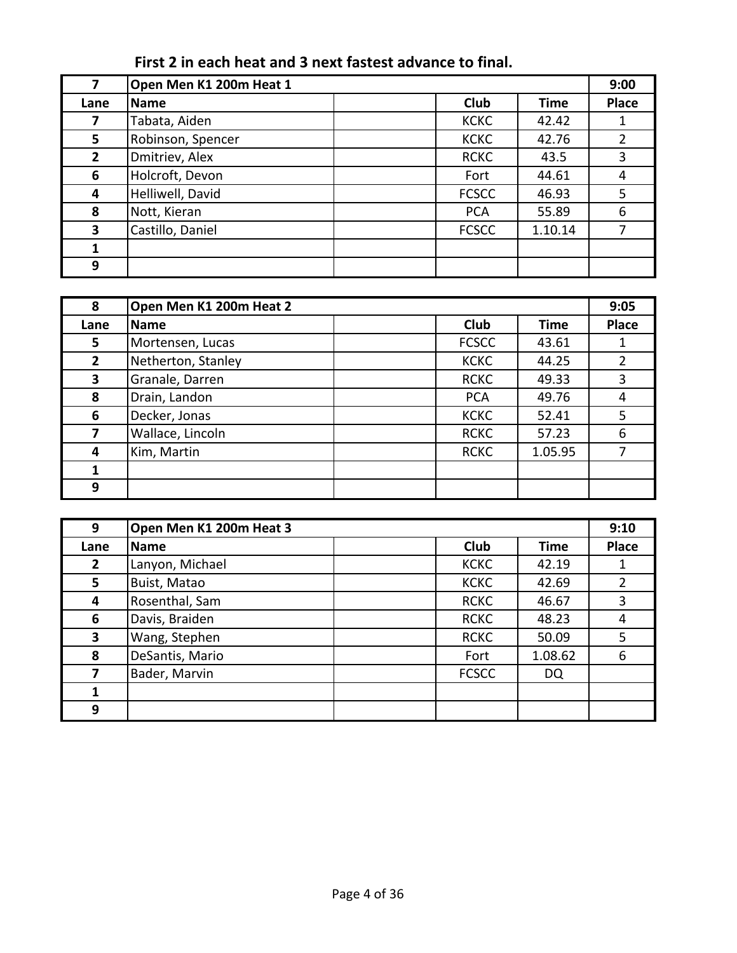# First 2 in each heat and 3 next fastest advance to final.

|              | Open Men K1 200m Heat 1 |              |             | 9:00         |
|--------------|-------------------------|--------------|-------------|--------------|
| Lane         | <b>Name</b>             | Club         | <b>Time</b> | <b>Place</b> |
| 7            | Tabata, Aiden           | <b>KCKC</b>  | 42.42       |              |
| 5            | Robinson, Spencer       | <b>KCKC</b>  | 42.76       |              |
| $\mathbf{2}$ | Dmitriev, Alex          | <b>RCKC</b>  | 43.5        | 3            |
| 6            | Holcroft, Devon         | Fort         | 44.61       | 4            |
| 4            | Helliwell, David        | <b>FCSCC</b> | 46.93       | 5            |
| 8            | Nott, Kieran            | <b>PCA</b>   | 55.89       | 6            |
| 3            | Castillo, Daniel        | <b>FCSCC</b> | 1.10.14     |              |
|              |                         |              |             |              |
| 9            |                         |              |             |              |

| 8            | Open Men K1 200m Heat 2 |              |             | 9:05         |
|--------------|-------------------------|--------------|-------------|--------------|
| Lane         | <b>Name</b>             | <b>Club</b>  | <b>Time</b> | <b>Place</b> |
| 5.           | Mortensen, Lucas        | <b>FCSCC</b> | 43.61       |              |
| $\mathbf{2}$ | Netherton, Stanley      | <b>KCKC</b>  | 44.25       |              |
| 3            | Granale, Darren         | <b>RCKC</b>  | 49.33       | 3            |
| 8            | Drain, Landon           | <b>PCA</b>   | 49.76       | 4            |
| 6            | Decker, Jonas           | <b>KCKC</b>  | 52.41       | 5            |
|              | Wallace, Lincoln        | <b>RCKC</b>  | 57.23       | 6            |
| 4            | Kim, Martin             | <b>RCKC</b>  | 1.05.95     |              |
|              |                         |              |             |              |
| 9            |                         |              |             |              |

| 9              | Open Men K1 200m Heat 3 |              |             | 9:10         |
|----------------|-------------------------|--------------|-------------|--------------|
| Lane           | <b>Name</b>             | <b>Club</b>  | <b>Time</b> | <b>Place</b> |
| $\overline{2}$ | Lanyon, Michael         | <b>KCKC</b>  | 42.19       |              |
| 5              | Buist, Matao            | <b>KCKC</b>  | 42.69       | 2            |
| 4              | Rosenthal, Sam          | <b>RCKC</b>  | 46.67       | 3            |
| 6              | Davis, Braiden          | <b>RCKC</b>  | 48.23       | 4            |
| 3              | Wang, Stephen           | <b>RCKC</b>  | 50.09       | 5            |
| 8              | DeSantis, Mario         | Fort         | 1.08.62     | 6            |
| 7              | Bader, Marvin           | <b>FCSCC</b> | DQ          |              |
|                |                         |              |             |              |
| 9              |                         |              |             |              |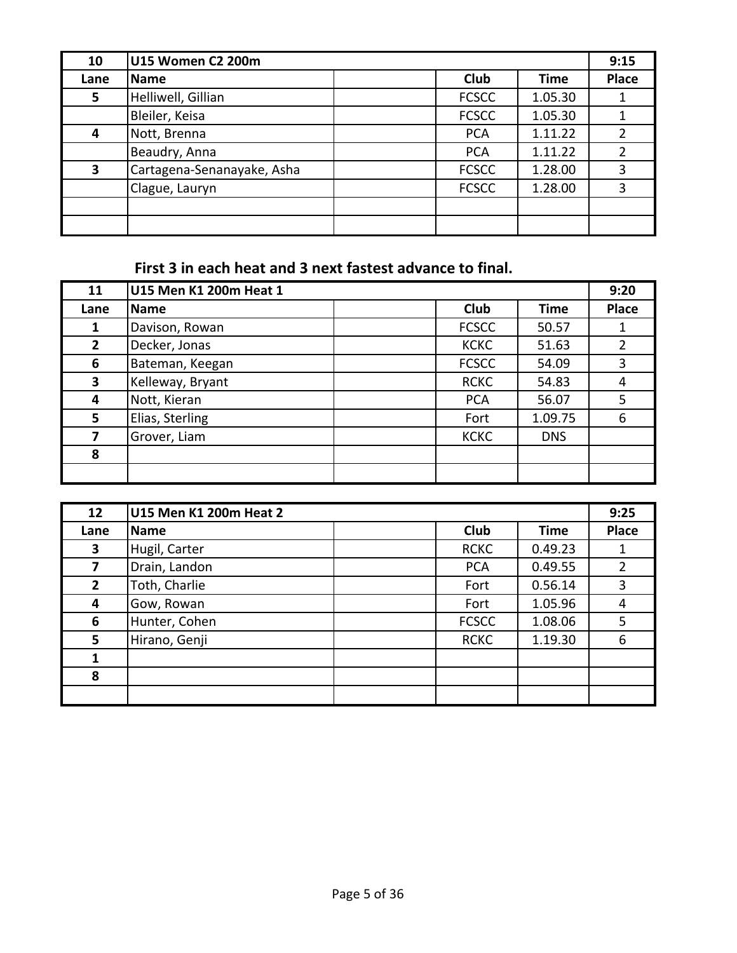| 10   | U15 Women C2 200m          |              |         | 9:15         |
|------|----------------------------|--------------|---------|--------------|
| Lane | Name                       | <b>Club</b>  | Time    | <b>Place</b> |
| 5    | Helliwell, Gillian         | <b>FCSCC</b> | 1.05.30 |              |
|      | Bleiler, Keisa             | <b>FCSCC</b> | 1.05.30 |              |
| 4    | Nott, Brenna               | <b>PCA</b>   | 1.11.22 |              |
|      | Beaudry, Anna              | <b>PCA</b>   | 1.11.22 |              |
| 3    | Cartagena-Senanayake, Asha | <b>FCSCC</b> | 1.28.00 |              |
|      | Clague, Lauryn             | <b>FCSCC</b> | 1.28.00 |              |
|      |                            |              |         |              |
|      |                            |              |         |              |

First 3 in each heat and 3 next fastest advance to final.

| 11             | U15 Men K1 200m Heat 1 |              |             | 9:20         |
|----------------|------------------------|--------------|-------------|--------------|
| Lane           | <b>Name</b>            | <b>Club</b>  | <b>Time</b> | <b>Place</b> |
| 1              | Davison, Rowan         | <b>FCSCC</b> | 50.57       |              |
| $\overline{2}$ | Decker, Jonas          | <b>KCKC</b>  | 51.63       |              |
| 6              | Bateman, Keegan        | <b>FCSCC</b> | 54.09       | 3            |
| 3              | Kelleway, Bryant       | <b>RCKC</b>  | 54.83       | 4            |
| 4              | Nott, Kieran           | <b>PCA</b>   | 56.07       | 5            |
| 5              | Elias, Sterling        | Fort         | 1.09.75     | 6            |
| 7              | Grover, Liam           | <b>KCKC</b>  | <b>DNS</b>  |              |
| 8              |                        |              |             |              |
|                |                        |              |             |              |

| 12           | U15 Men K1 200m Heat 2 |              |             | 9:25         |
|--------------|------------------------|--------------|-------------|--------------|
| Lane         | <b>Name</b>            | <b>Club</b>  | <b>Time</b> | <b>Place</b> |
| 3            | Hugil, Carter          | <b>RCKC</b>  | 0.49.23     |              |
| 7            | Drain, Landon          | <b>PCA</b>   | 0.49.55     |              |
| $\mathbf{2}$ | Toth, Charlie          | Fort         | 0.56.14     | 3            |
| 4            | Gow, Rowan             | Fort         | 1.05.96     | 4            |
| 6            | Hunter, Cohen          | <b>FCSCC</b> | 1.08.06     | 5            |
| 5            | Hirano, Genji          | <b>RCKC</b>  | 1.19.30     | 6            |
|              |                        |              |             |              |
| 8            |                        |              |             |              |
|              |                        |              |             |              |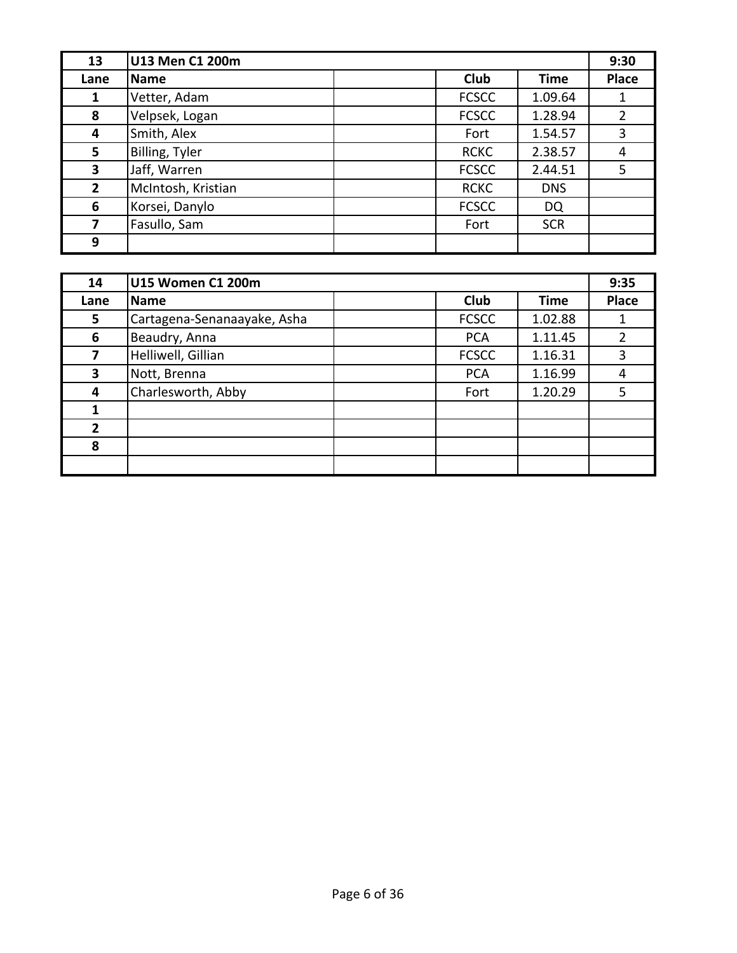| 13             | U13 Men C1 200m    |              |             | 9:30         |
|----------------|--------------------|--------------|-------------|--------------|
| Lane           | Name               | <b>Club</b>  | <b>Time</b> | <b>Place</b> |
| 1              | Vetter, Adam       | <b>FCSCC</b> | 1.09.64     |              |
| 8              | Velpsek, Logan     | <b>FCSCC</b> | 1.28.94     |              |
| 4              | Smith, Alex        | Fort         | 1.54.57     | 3            |
| 5              | Billing, Tyler     | <b>RCKC</b>  | 2.38.57     | 4            |
| 3              | Jaff, Warren       | <b>FCSCC</b> | 2.44.51     | 5            |
| $\overline{2}$ | McIntosh, Kristian | <b>RCKC</b>  | <b>DNS</b>  |              |
| 6              | Korsei, Danylo     | <b>FCSCC</b> | DQ          |              |
| 7              | Fasullo, Sam       | Fort         | <b>SCR</b>  |              |
| 9              |                    |              |             |              |

| 14   | U15 Women C1 200m           |              |             | 9:35  |
|------|-----------------------------|--------------|-------------|-------|
| Lane | <b>Name</b>                 | Club         | <b>Time</b> | Place |
| 5    | Cartagena-Senanaayake, Asha | <b>FCSCC</b> | 1.02.88     |       |
| 6    | Beaudry, Anna               | <b>PCA</b>   | 1.11.45     | 2     |
| 7    | Helliwell, Gillian          | <b>FCSCC</b> | 1.16.31     | 3     |
| 3    | Nott, Brenna                | <b>PCA</b>   | 1.16.99     | 4     |
| 4    | Charlesworth, Abby          | Fort         | 1.20.29     | 5     |
|      |                             |              |             |       |
| 2    |                             |              |             |       |
| 8    |                             |              |             |       |
|      |                             |              |             |       |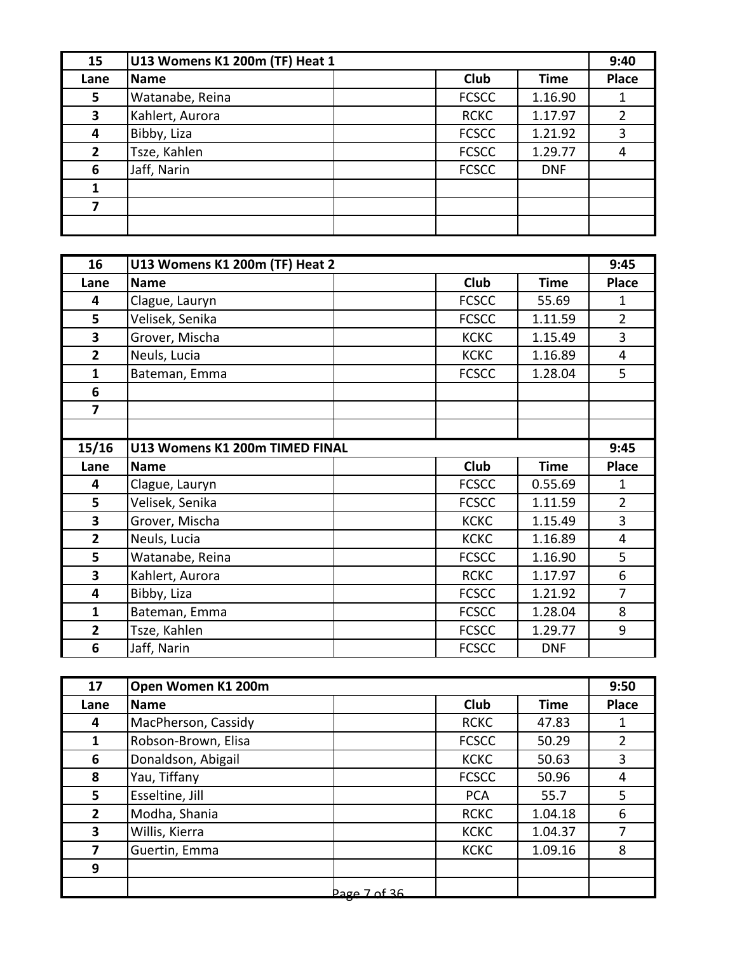| 15             | U13 Womens K1 200m (TF) Heat 1 |              |             | 9:40         |
|----------------|--------------------------------|--------------|-------------|--------------|
| Lane           | Name                           | <b>Club</b>  | <b>Time</b> | <b>Place</b> |
| 5              | Watanabe, Reina                | <b>FCSCC</b> | 1.16.90     |              |
| 3              | Kahlert, Aurora                | <b>RCKC</b>  | 1.17.97     |              |
| 4              | Bibby, Liza                    | <b>FCSCC</b> | 1.21.92     |              |
| $\overline{2}$ | Tsze, Kahlen                   | <b>FCSCC</b> | 1.29.77     |              |
| 6              | Jaff, Narin                    | <b>FCSCC</b> | <b>DNF</b>  |              |
|                |                                |              |             |              |
|                |                                |              |             |              |
|                |                                |              |             |              |

| 16                      | U13 Womens K1 200m (TF) Heat 2 |              |             | 9:45           |
|-------------------------|--------------------------------|--------------|-------------|----------------|
| Lane                    | <b>Name</b>                    | <b>Club</b>  | <b>Time</b> | <b>Place</b>   |
| 4                       | Clague, Lauryn                 | <b>FCSCC</b> | 55.69       | $\mathbf{1}$   |
| 5                       | Velisek, Senika                | <b>FCSCC</b> | 1.11.59     | $\overline{2}$ |
| 3                       | Grover, Mischa                 | <b>KCKC</b>  | 1.15.49     | 3              |
| $\overline{2}$          | Neuls, Lucia                   | <b>KCKC</b>  | 1.16.89     | $\overline{4}$ |
| $\mathbf{1}$            | Bateman, Emma                  | <b>FCSCC</b> | 1.28.04     | 5              |
| 6                       |                                |              |             |                |
| $\overline{7}$          |                                |              |             |                |
|                         |                                |              |             |                |
| 15/16                   | U13 Womens K1 200m TIMED FINAL |              |             | 9:45           |
| Lane                    | <b>Name</b>                    | <b>Club</b>  | <b>Time</b> | <b>Place</b>   |
| 4                       | Clague, Lauryn                 | <b>FCSCC</b> | 0.55.69     | $\mathbf{1}$   |
| 5                       | Velisek, Senika                | <b>FCSCC</b> | 1.11.59     | $\overline{2}$ |
| 3                       | Grover, Mischa                 | <b>KCKC</b>  | 1.15.49     | 3              |
| $\mathbf{2}$            | Neuls, Lucia                   | <b>KCKC</b>  | 1.16.89     | $\overline{4}$ |
| 5                       | Watanabe, Reina                | <b>FCSCC</b> | 1.16.90     | 5              |
| 3                       | Kahlert, Aurora                | <b>RCKC</b>  | 1.17.97     | 6              |
| 4                       | Bibby, Liza                    | <b>FCSCC</b> | 1.21.92     | $\overline{7}$ |
| $\mathbf{1}$            | Bateman, Emma                  | <b>FCSCC</b> | 1.28.04     | 8              |
| $\overline{\mathbf{2}}$ | Tsze, Kahlen                   | <b>FCSCC</b> | 1.29.77     | 9              |
| 6                       | Jaff, Narin                    | <b>FCSCC</b> | <b>DNF</b>  |                |

| 17             | Open Women K1 200m  |              |             | 9:50         |
|----------------|---------------------|--------------|-------------|--------------|
| Lane           | <b>Name</b>         | <b>Club</b>  | <b>Time</b> | <b>Place</b> |
| 4              | MacPherson, Cassidy | <b>RCKC</b>  | 47.83       |              |
| 1              | Robson-Brown, Elisa | <b>FCSCC</b> | 50.29       | 2            |
| 6              | Donaldson, Abigail  | <b>KCKC</b>  | 50.63       | 3            |
| 8              | Yau, Tiffany        | <b>FCSCC</b> | 50.96       | 4            |
| 5              | Esseltine, Jill     | <b>PCA</b>   | 55.7        | 5            |
| $\overline{2}$ | Modha, Shania       | <b>RCKC</b>  | 1.04.18     | 6            |
| 3              | Willis, Kierra      | <b>KCKC</b>  | 1.04.37     |              |
| 7              | Guertin, Emma       | <b>KCKC</b>  | 1.09.16     | 8            |
| 9              |                     |              |             |              |
|                | $20007$ of 36       |              |             |              |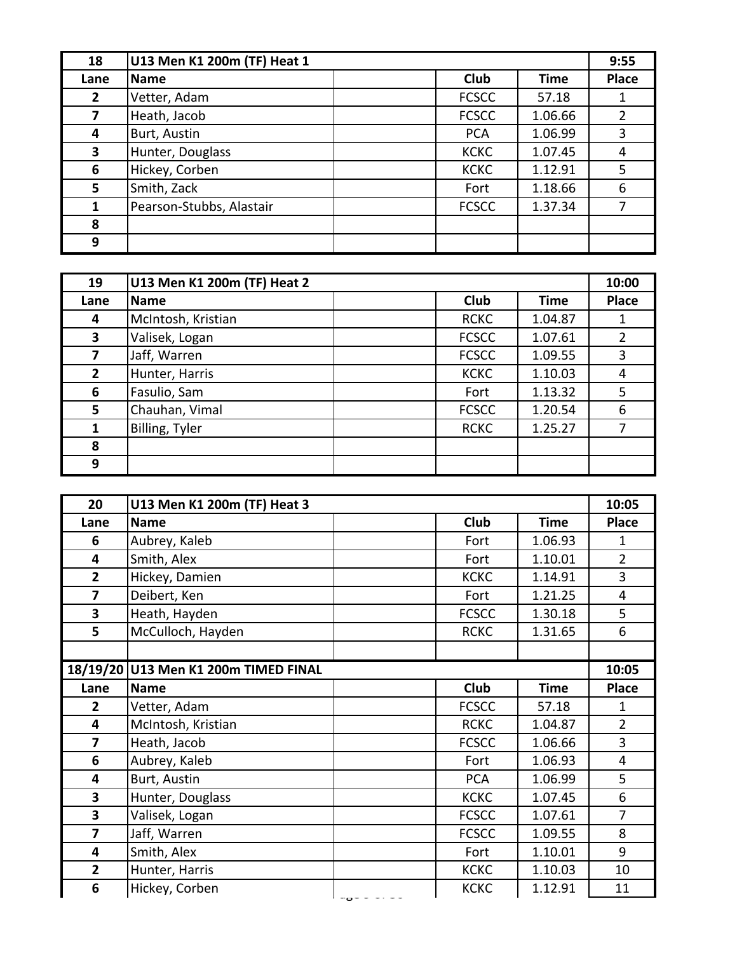| 18             | U13 Men K1 200m (TF) Heat 1 |              |             | 9:55         |
|----------------|-----------------------------|--------------|-------------|--------------|
| Lane           | <b>Name</b>                 | <b>Club</b>  | <b>Time</b> | <b>Place</b> |
| $\overline{2}$ | Vetter, Adam                | <b>FCSCC</b> | 57.18       |              |
| 7              | Heath, Jacob                | <b>FCSCC</b> | 1.06.66     |              |
| 4              | Burt, Austin                | <b>PCA</b>   | 1.06.99     | 3            |
| 3              | Hunter, Douglass            | <b>KCKC</b>  | 1.07.45     | 4            |
| 6              | Hickey, Corben              | <b>KCKC</b>  | 1.12.91     | 5            |
| 5              | Smith, Zack                 | Fort         | 1.18.66     | 6            |
| 1              | Pearson-Stubbs, Alastair    | <b>FCSCC</b> | 1.37.34     |              |
| 8              |                             |              |             |              |
| 9              |                             |              |             |              |

| 19             | U13 Men K1 200m (TF) Heat 2 |              |             | 10:00        |
|----------------|-----------------------------|--------------|-------------|--------------|
| Lane           | <b>Name</b>                 | <b>Club</b>  | <b>Time</b> | <b>Place</b> |
| 4              | McIntosh, Kristian          | <b>RCKC</b>  | 1.04.87     |              |
| 3              | Valisek, Logan              | <b>FCSCC</b> | 1.07.61     |              |
| 7              | Jaff, Warren                | <b>FCSCC</b> | 1.09.55     | 3            |
| $\overline{2}$ | Hunter, Harris              | <b>KCKC</b>  | 1.10.03     | 4            |
| 6              | Fasulio, Sam                | Fort         | 1.13.32     | 5            |
| 5              | Chauhan, Vimal              | <b>FCSCC</b> | 1.20.54     | 6            |
| 1              | Billing, Tyler              | <b>RCKC</b>  | 1.25.27     |              |
| 8              |                             |              |             |              |
| 9              |                             |              |             |              |

| 20             | U13 Men K1 200m (TF) Heat 3          |                           |             | 10:05          |
|----------------|--------------------------------------|---------------------------|-------------|----------------|
| Lane           | <b>Name</b>                          | Club                      | <b>Time</b> | <b>Place</b>   |
| 6              | Aubrey, Kaleb                        | Fort                      | 1.06.93     | 1              |
| 4              | Smith, Alex                          | Fort                      | 1.10.01     | $\overline{2}$ |
| $\overline{2}$ | Hickey, Damien                       | <b>KCKC</b>               | 1.14.91     | 3              |
| $\overline{7}$ | Deibert, Ken                         | Fort                      | 1.21.25     | 4              |
| 3              | Heath, Hayden                        | <b>FCSCC</b>              | 1.30.18     | 5              |
| 5              | McCulloch, Hayden                    | <b>RCKC</b>               | 1.31.65     | 6              |
|                |                                      |                           |             |                |
|                | 18/19/20 U13 Men K1 200m TIMED FINAL |                           |             | 10:05          |
| Lane           | <b>Name</b>                          | <b>Club</b>               | <b>Time</b> | <b>Place</b>   |
| $\overline{2}$ | Vetter, Adam                         | <b>FCSCC</b>              | 57.18       | 1              |
| 4              | McIntosh, Kristian                   | <b>RCKC</b>               | 1.04.87     | $\overline{2}$ |
| $\overline{7}$ | Heath, Jacob                         | <b>FCSCC</b>              | 1.06.66     | 3              |
| 6              | Aubrey, Kaleb                        | Fort                      | 1.06.93     | $\overline{4}$ |
| 4              | Burt, Austin                         | <b>PCA</b>                | 1.06.99     | 5              |
| 3              | Hunter, Douglass                     | <b>KCKC</b>               | 1.07.45     | 6              |
| 3              | Valisek, Logan                       | <b>FCSCC</b>              | 1.07.61     | $\overline{7}$ |
| $\overline{7}$ | Jaff, Warren                         | <b>FCSCC</b>              | 1.09.55     | 8              |
| 4              | Smith, Alex                          | Fort                      | 1.10.01     | 9              |
| $\mathbf{2}$   | Hunter, Harris                       | <b>KCKC</b>               | 1.10.03     | 10             |
| 6              | Hickey, Corben                       | <b>KCKC</b><br>$-5 - - -$ | 1.12.91     | 11             |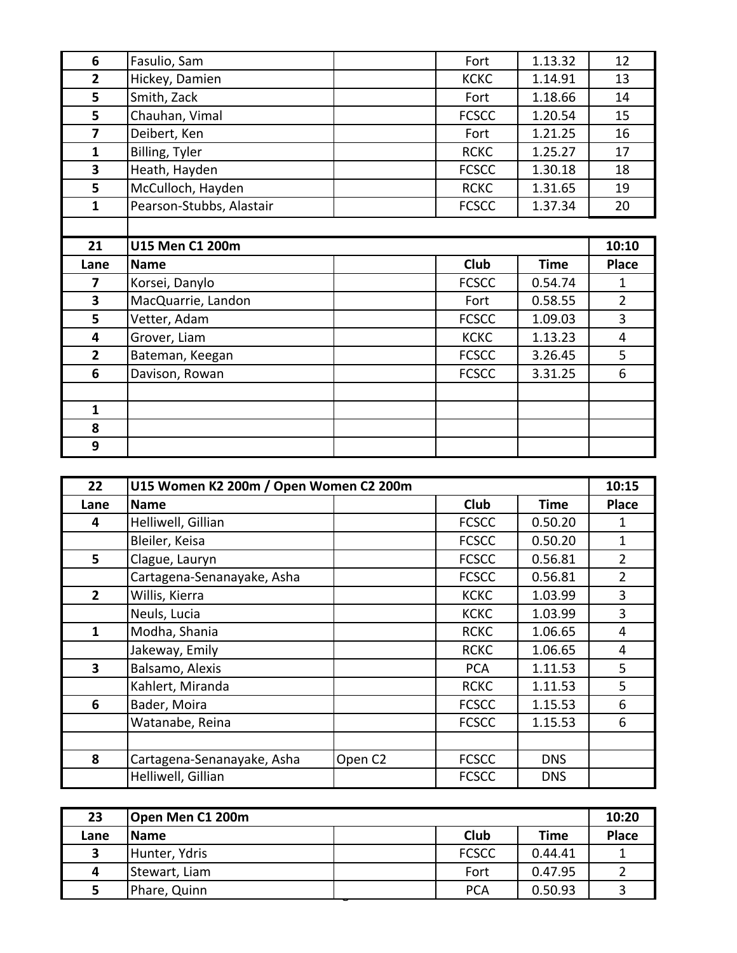| 6              | Fasulio, Sam             | Fort         | 1.13.32     | 12             |
|----------------|--------------------------|--------------|-------------|----------------|
| $\overline{2}$ | Hickey, Damien           | <b>KCKC</b>  | 1.14.91     | 13             |
| 5              | Smith, Zack              | Fort         | 1.18.66     | 14             |
| 5              | Chauhan, Vimal           | <b>FCSCC</b> | 1.20.54     | 15             |
| $\overline{7}$ | Deibert, Ken             | Fort         | 1.21.25     | 16             |
| $\mathbf{1}$   | Billing, Tyler           | <b>RCKC</b>  | 1.25.27     | 17             |
| 3              | Heath, Hayden            | <b>FCSCC</b> | 1.30.18     | 18             |
| 5              | McCulloch, Hayden        | <b>RCKC</b>  | 1.31.65     | 19             |
| $\mathbf{1}$   | Pearson-Stubbs, Alastair | <b>FCSCC</b> | 1.37.34     | 20             |
|                |                          |              |             |                |
| 21             | U15 Men C1 200m          |              |             | 10:10          |
|                |                          |              |             |                |
| Lane           | <b>Name</b>              | Club         | <b>Time</b> | <b>Place</b>   |
| 7              | Korsei, Danylo           | <b>FCSCC</b> | 0.54.74     | 1              |
| 3              | MacQuarrie, Landon       | Fort         | 0.58.55     | $\overline{2}$ |
| 5              | Vetter, Adam             | <b>FCSCC</b> | 1.09.03     | 3              |
| 4              | Grover, Liam             | <b>KCKC</b>  | 1.13.23     | $\overline{4}$ |
| $\overline{2}$ | Bateman, Keegan          | <b>FCSCC</b> | 3.26.45     | 5              |
| 6              | Davison, Rowan           | <b>FCSCC</b> | 3.31.25     | 6              |
|                |                          |              |             |                |
| $\mathbf{1}$   |                          |              |             |                |
| 8              |                          |              |             |                |

| 22           | U15 Women K2 200m / Open Women C2 200m |                     |              |            | 10:15          |
|--------------|----------------------------------------|---------------------|--------------|------------|----------------|
| Lane         | <b>Name</b>                            |                     | <b>Club</b>  | Time       | <b>Place</b>   |
| 4            | Helliwell, Gillian                     |                     | <b>FCSCC</b> | 0.50.20    | 1              |
|              | Bleiler, Keisa                         |                     | <b>FCSCC</b> | 0.50.20    | 1              |
| 5            | Clague, Lauryn                         |                     | <b>FCSCC</b> | 0.56.81    | $\overline{2}$ |
|              | Cartagena-Senanayake, Asha             |                     | <b>FCSCC</b> | 0.56.81    | $\mathcal{P}$  |
| $\mathbf{2}$ | Willis, Kierra                         |                     | <b>KCKC</b>  | 1.03.99    | 3              |
|              | Neuls, Lucia                           |                     | <b>KCKC</b>  | 1.03.99    | 3              |
| 1            | Modha, Shania                          |                     | <b>RCKC</b>  | 1.06.65    | 4              |
|              | Jakeway, Emily                         |                     | <b>RCKC</b>  | 1.06.65    | 4              |
| 3            | Balsamo, Alexis                        |                     | <b>PCA</b>   | 1.11.53    | 5              |
|              | Kahlert, Miranda                       |                     | <b>RCKC</b>  | 1.11.53    | 5              |
| 6            | Bader, Moira                           |                     | <b>FCSCC</b> | 1.15.53    | 6              |
|              | Watanabe, Reina                        |                     | <b>FCSCC</b> | 1.15.53    | 6              |
|              |                                        |                     |              |            |                |
| 8            | Cartagena-Senanayake, Asha             | Open C <sub>2</sub> | <b>FCSCC</b> | <b>DNS</b> |                |
|              | Helliwell, Gillian                     |                     | <b>FCSCC</b> | <b>DNS</b> |                |

| 23   | Open Men C1 200m |              |         | 10:20        |
|------|------------------|--------------|---------|--------------|
| Lane | <b>Name</b>      | Club         | Time    | <b>Place</b> |
| 3    | Hunter, Ydris    | <b>FCSCC</b> | 0.44.41 |              |
| 4    | Stewart, Liam    | Fort         | 0.47.95 |              |
|      | Phare, Quinn     | <b>PCA</b>   | 0.50.93 |              |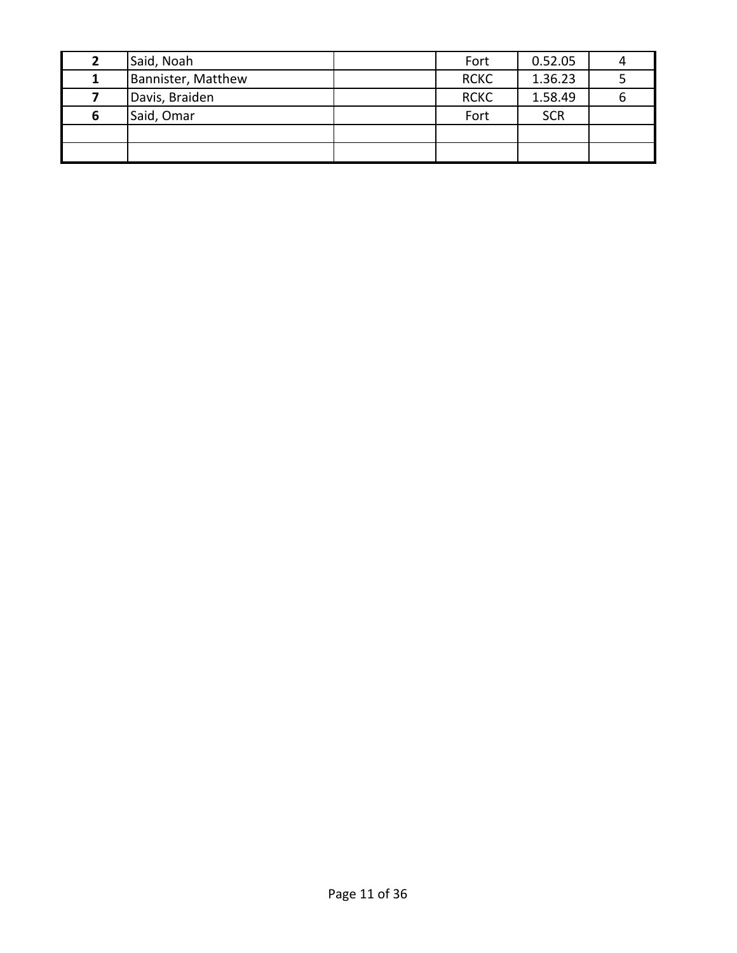|   | Said, Noah         | Fort        | 0.52.05    |  |
|---|--------------------|-------------|------------|--|
|   | Bannister, Matthew | <b>RCKC</b> | 1.36.23    |  |
|   | Davis, Braiden     | <b>RCKC</b> | 1.58.49    |  |
| ь | Said, Omar         | Fort        | <b>SCR</b> |  |
|   |                    |             |            |  |
|   |                    |             |            |  |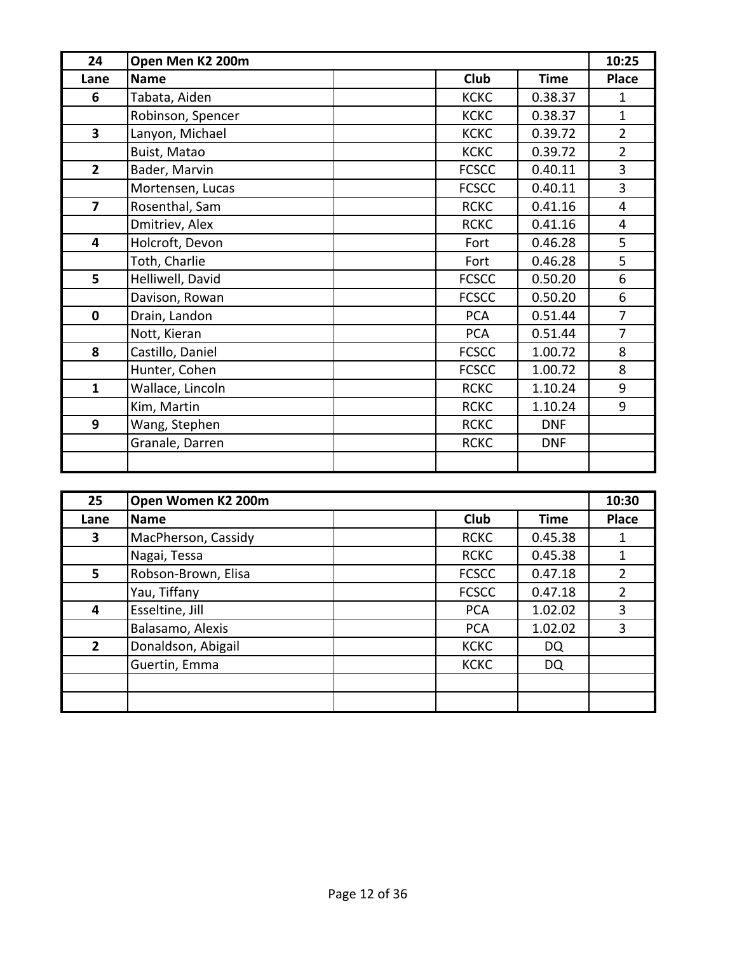| 24                      | Open Men K2 200m  |                            | 10:25          |
|-------------------------|-------------------|----------------------------|----------------|
| Lane                    | <b>Name</b>       | <b>Club</b><br><b>Time</b> | <b>Place</b>   |
| 6                       | Tabata, Aiden     | <b>KCKC</b><br>0.38.37     | 1              |
|                         | Robinson, Spencer | <b>KCKC</b><br>0.38.37     | $\mathbf{1}$   |
| $\overline{\mathbf{3}}$ | Lanyon, Michael   | <b>KCKC</b><br>0.39.72     | $\overline{2}$ |
|                         | Buist, Matao      | <b>KCKC</b><br>0.39.72     | $\overline{2}$ |
| $\overline{2}$          | Bader, Marvin     | <b>FCSCC</b><br>0.40.11    | $\overline{3}$ |
|                         | Mortensen, Lucas  | <b>FCSCC</b><br>0.40.11    | 3              |
| $\overline{7}$          | Rosenthal, Sam    | <b>RCKC</b><br>0.41.16     | $\overline{4}$ |
|                         | Dmitriev, Alex    | <b>RCKC</b><br>0.41.16     | $\overline{4}$ |
| 4                       | Holcroft, Devon   | 0.46.28<br>Fort            | 5              |
|                         | Toth, Charlie     | 0.46.28<br>Fort            | 5              |
| 5                       | Helliwell, David  | <b>FCSCC</b><br>0.50.20    | 6              |
|                         | Davison, Rowan    | <b>FCSCC</b><br>0.50.20    | 6              |
| $\mathbf 0$             | Drain, Landon     | <b>PCA</b><br>0.51.44      | $\overline{7}$ |
|                         | Nott, Kieran      | 0.51.44<br><b>PCA</b>      | $\overline{7}$ |
| 8                       | Castillo, Daniel  | <b>FCSCC</b><br>1.00.72    | 8              |
|                         | Hunter, Cohen     | <b>FCSCC</b><br>1.00.72    | 8              |
| $\mathbf{1}$            | Wallace, Lincoln  | <b>RCKC</b><br>1.10.24     | 9              |
|                         | Kim, Martin       | <b>RCKC</b><br>1.10.24     | 9              |
| 9                       | Wang, Stephen     | <b>RCKC</b><br><b>DNF</b>  |                |
|                         | Granale, Darren   | <b>RCKC</b><br><b>DNF</b>  |                |
|                         |                   |                            |                |

| 25           | Open Women K2 200m  |              |             | 10:30 |
|--------------|---------------------|--------------|-------------|-------|
| Lane         | <b>Name</b>         | <b>Club</b>  | <b>Time</b> | Place |
| 3            | MacPherson, Cassidy | <b>RCKC</b>  | 0.45.38     |       |
|              | Nagai, Tessa        | <b>RCKC</b>  | 0.45.38     |       |
| 5            | Robson-Brown, Elisa | <b>FCSCC</b> | 0.47.18     |       |
|              | Yau, Tiffany        | <b>FCSCC</b> | 0.47.18     |       |
| 4            | Esseltine, Jill     | <b>PCA</b>   | 1.02.02     | 3     |
|              | Balasamo, Alexis    | <b>PCA</b>   | 1.02.02     | 3     |
| $\mathbf{2}$ | Donaldson, Abigail  | <b>KCKC</b>  | DQ          |       |
|              | Guertin, Emma       | <b>KCKC</b>  | <b>DQ</b>   |       |
|              |                     |              |             |       |
|              |                     |              |             |       |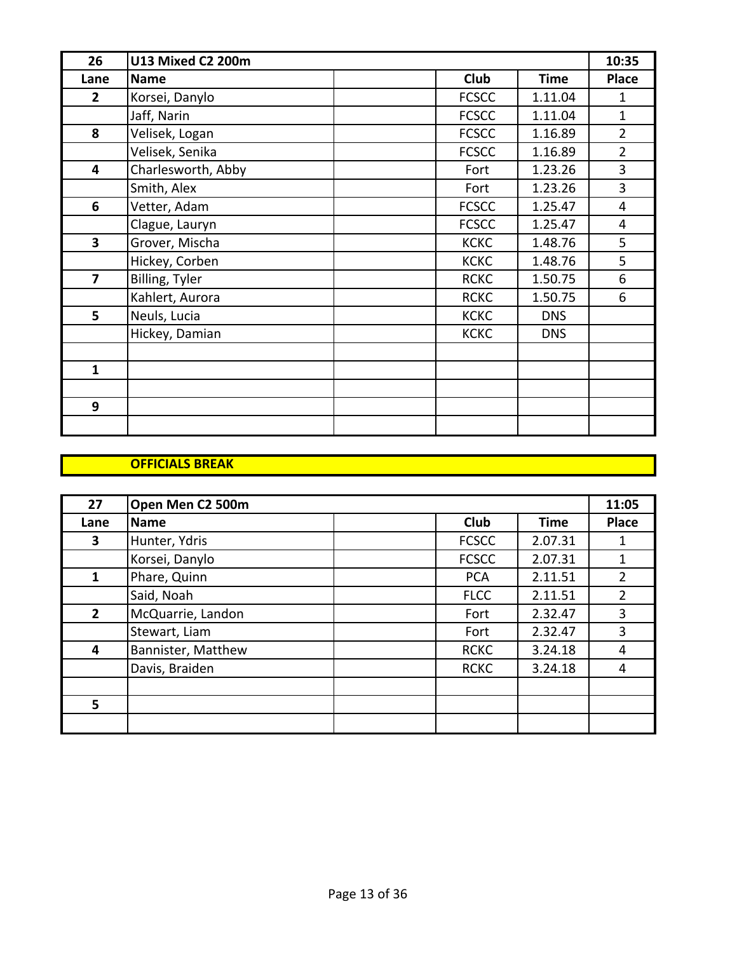| 26             | <b>U13 Mixed C2 200m</b> |              |             | 10:35          |
|----------------|--------------------------|--------------|-------------|----------------|
| Lane           | <b>Name</b>              | <b>Club</b>  | <b>Time</b> | <b>Place</b>   |
| $\overline{2}$ | Korsei, Danylo           | <b>FCSCC</b> | 1.11.04     | 1              |
|                | Jaff, Narin              | <b>FCSCC</b> | 1.11.04     | $\mathbf{1}$   |
| 8              | Velisek, Logan           | <b>FCSCC</b> | 1.16.89     | $\overline{2}$ |
|                | Velisek, Senika          | <b>FCSCC</b> | 1.16.89     | $\overline{2}$ |
| 4              | Charlesworth, Abby       | Fort         | 1.23.26     | 3              |
|                | Smith, Alex              | Fort         | 1.23.26     | 3              |
| 6              | Vetter, Adam             | <b>FCSCC</b> | 1.25.47     | $\overline{4}$ |
|                | Clague, Lauryn           | <b>FCSCC</b> | 1.25.47     | 4              |
| 3              | Grover, Mischa           | <b>KCKC</b>  | 1.48.76     | 5              |
|                | Hickey, Corben           | <b>KCKC</b>  | 1.48.76     | 5              |
| $\overline{7}$ | Billing, Tyler           | <b>RCKC</b>  | 1.50.75     | 6              |
|                | Kahlert, Aurora          | <b>RCKC</b>  | 1.50.75     | 6              |
| 5              | Neuls, Lucia             | <b>KCKC</b>  | <b>DNS</b>  |                |
|                | Hickey, Damian           | <b>KCKC</b>  | <b>DNS</b>  |                |
|                |                          |              |             |                |
| $\mathbf{1}$   |                          |              |             |                |
|                |                          |              |             |                |
| 9              |                          |              |             |                |
|                |                          |              |             |                |

#### **OFFICIALS BREAK**

| 27           | Open Men C2 500m   |              |             | 11:05          |
|--------------|--------------------|--------------|-------------|----------------|
| Lane         | <b>Name</b>        | <b>Club</b>  | <b>Time</b> | <b>Place</b>   |
| 3            | Hunter, Ydris      | <b>FCSCC</b> | 2.07.31     |                |
|              | Korsei, Danylo     | <b>FCSCC</b> | 2.07.31     | 1              |
| 1            | Phare, Quinn       | <b>PCA</b>   | 2.11.51     | $\overline{2}$ |
|              | Said, Noah         | <b>FLCC</b>  | 2.11.51     | $\overline{2}$ |
| $\mathbf{2}$ | McQuarrie, Landon  | Fort         | 2.32.47     | 3              |
|              | Stewart, Liam      | Fort         | 2.32.47     | 3              |
| 4            | Bannister, Matthew | <b>RCKC</b>  | 3.24.18     | 4              |
|              | Davis, Braiden     | <b>RCKC</b>  | 3.24.18     | 4              |
|              |                    |              |             |                |
| 5            |                    |              |             |                |
|              |                    |              |             |                |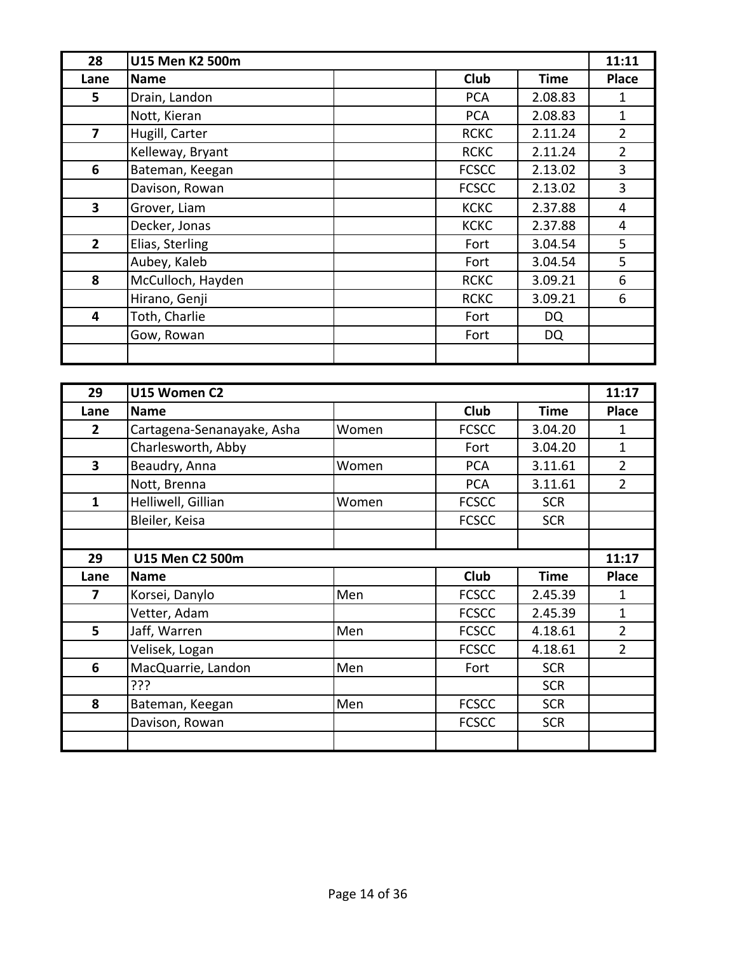| 28             | U15 Men K2 500m   |              | 11:11                       |
|----------------|-------------------|--------------|-----------------------------|
| Lane           | <b>Name</b>       | <b>Club</b>  | <b>Place</b><br><b>Time</b> |
| 5              | Drain, Landon     | <b>PCA</b>   | 2.08.83<br>1                |
|                | Nott, Kieran      | <b>PCA</b>   | 2.08.83<br>1                |
| $\overline{7}$ | Hugill, Carter    | <b>RCKC</b>  | $\overline{2}$<br>2.11.24   |
|                | Kelleway, Bryant  | <b>RCKC</b>  | $\overline{2}$<br>2.11.24   |
| 6              | Bateman, Keegan   | <b>FCSCC</b> | 3<br>2.13.02                |
|                | Davison, Rowan    | <b>FCSCC</b> | 3<br>2.13.02                |
| 3              | Grover, Liam      | <b>KCKC</b>  | 2.37.88<br>4                |
|                | Decker, Jonas     | <b>KCKC</b>  | 2.37.88<br>4                |
| $\overline{2}$ | Elias, Sterling   | Fort         | 3.04.54<br>5                |
|                | Aubey, Kaleb      | Fort         | 5<br>3.04.54                |
| 8              | McCulloch, Hayden | <b>RCKC</b>  | 6<br>3.09.21                |
|                | Hirano, Genji     | <b>RCKC</b>  | 3.09.21<br>6                |
| 4              | Toth, Charlie     | Fort         | DQ                          |
|                | Gow, Rowan        | Fort         | DQ                          |
|                |                   |              |                             |

| 29           | U15 Women C2               |       |              |             | 11:17          |
|--------------|----------------------------|-------|--------------|-------------|----------------|
| Lane         | <b>Name</b>                |       | <b>Club</b>  | <b>Time</b> | <b>Place</b>   |
| 2            | Cartagena-Senanayake, Asha | Women | <b>FCSCC</b> | 3.04.20     | 1              |
|              | Charlesworth, Abby         |       | Fort         | 3.04.20     | $\mathbf{1}$   |
| 3            | Beaudry, Anna              | Women | <b>PCA</b>   | 3.11.61     | $\overline{2}$ |
|              | Nott, Brenna               |       | <b>PCA</b>   | 3.11.61     | $\overline{2}$ |
| $\mathbf{1}$ | Helliwell, Gillian         | Women | <b>FCSCC</b> | <b>SCR</b>  |                |
|              | Bleiler, Keisa             |       | <b>FCSCC</b> | <b>SCR</b>  |                |
|              |                            |       |              |             |                |
| 29           | U15 Men C2 500m            |       |              |             | 11:17          |
| Lane         | <b>Name</b>                |       | <b>Club</b>  | <b>Time</b> | <b>Place</b>   |
| 7            | Korsei, Danylo             | Men   | <b>FCSCC</b> | 2.45.39     | 1              |
|              | Vetter, Adam               |       | <b>FCSCC</b> | 2.45.39     | 1              |
| 5            | Jaff, Warren               | Men   | <b>FCSCC</b> | 4.18.61     | $\overline{2}$ |
|              | Velisek, Logan             |       | <b>FCSCC</b> | 4.18.61     | $\overline{2}$ |
| 6            | MacQuarrie, Landon         | Men   | Fort         | <b>SCR</b>  |                |
|              | ???                        |       |              | <b>SCR</b>  |                |
| 8            | Bateman, Keegan            | Men   | <b>FCSCC</b> | <b>SCR</b>  |                |
|              | Davison, Rowan             |       | <b>FCSCC</b> | <b>SCR</b>  |                |
|              |                            |       |              |             |                |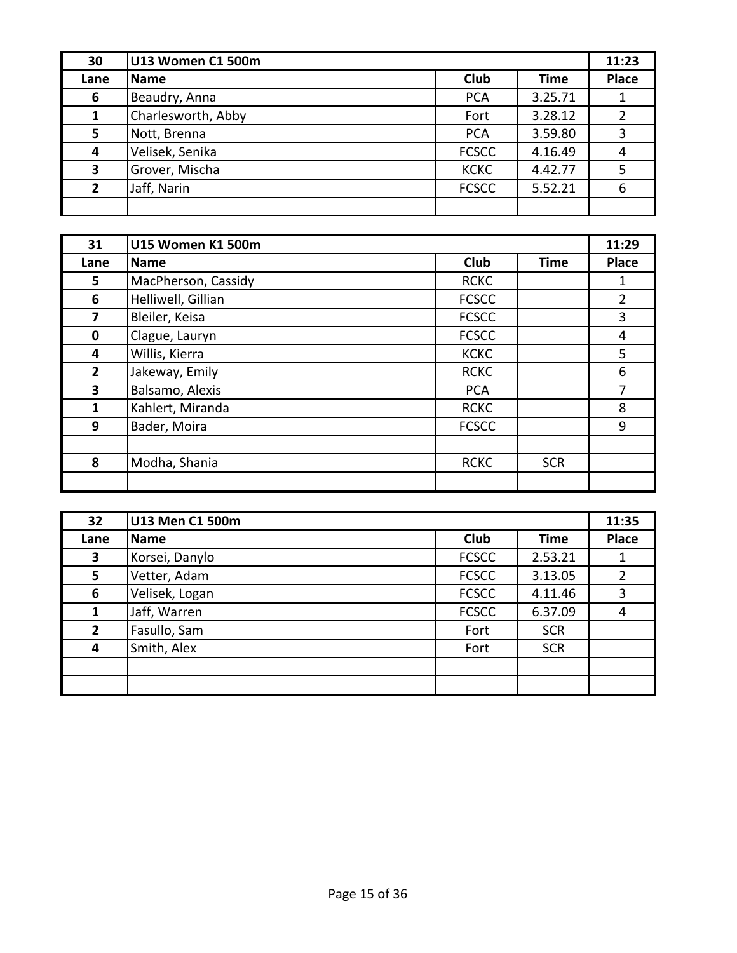| 30             | U13 Women C1 500m  |              |             | 11:23        |
|----------------|--------------------|--------------|-------------|--------------|
| Lane           | <b>Name</b>        | <b>Club</b>  | <b>Time</b> | <b>Place</b> |
| 6              | Beaudry, Anna      | <b>PCA</b>   | 3.25.71     |              |
|                | Charlesworth, Abby | Fort         | 3.28.12     |              |
| 5              | Nott, Brenna       | <b>PCA</b>   | 3.59.80     |              |
| 4              | Velisek, Senika    | <b>FCSCC</b> | 4.16.49     |              |
| 3              | Grover, Mischa     | <b>KCKC</b>  | 4.42.77     |              |
| $\overline{2}$ | Jaff, Narin        | <b>FCSCC</b> | 5.52.21     | 6            |
|                |                    |              |             |              |

| 31             | <b>U15 Women K1 500m</b> |              |             | 11:29          |
|----------------|--------------------------|--------------|-------------|----------------|
| Lane           | <b>Name</b>              | <b>Club</b>  | <b>Time</b> | <b>Place</b>   |
| 5              | MacPherson, Cassidy      | <b>RCKC</b>  |             |                |
| 6              | Helliwell, Gillian       | <b>FCSCC</b> |             | $\overline{2}$ |
| 7              | Bleiler, Keisa           | <b>FCSCC</b> |             | 3              |
| 0              | Clague, Lauryn           | <b>FCSCC</b> |             | 4              |
| 4              | Willis, Kierra           | <b>KCKC</b>  |             | 5              |
| $\overline{2}$ | Jakeway, Emily           | <b>RCKC</b>  |             | 6              |
| 3              | Balsamo, Alexis          | <b>PCA</b>   |             | 7              |
| 1              | Kahlert, Miranda         | <b>RCKC</b>  |             | 8              |
| 9              | Bader, Moira             | <b>FCSCC</b> |             | 9              |
|                |                          |              |             |                |
| 8              | Modha, Shania            | <b>RCKC</b>  | <b>SCR</b>  |                |
|                |                          |              |             |                |

| 32             | U13 Men C1 500m |              |             | 11:35        |
|----------------|-----------------|--------------|-------------|--------------|
| Lane           | <b>Name</b>     | <b>Club</b>  | <b>Time</b> | <b>Place</b> |
| 3              | Korsei, Danylo  | <b>FCSCC</b> | 2.53.21     |              |
| 5              | Vetter, Adam    | <b>FCSCC</b> | 3.13.05     |              |
| 6              | Velisek, Logan  | <b>FCSCC</b> | 4.11.46     | 3            |
| 1              | Jaff, Warren    | <b>FCSCC</b> | 6.37.09     | 4            |
| $\overline{2}$ | Fasullo, Sam    | Fort         | <b>SCR</b>  |              |
| 4              | Smith, Alex     | Fort         | <b>SCR</b>  |              |
|                |                 |              |             |              |
|                |                 |              |             |              |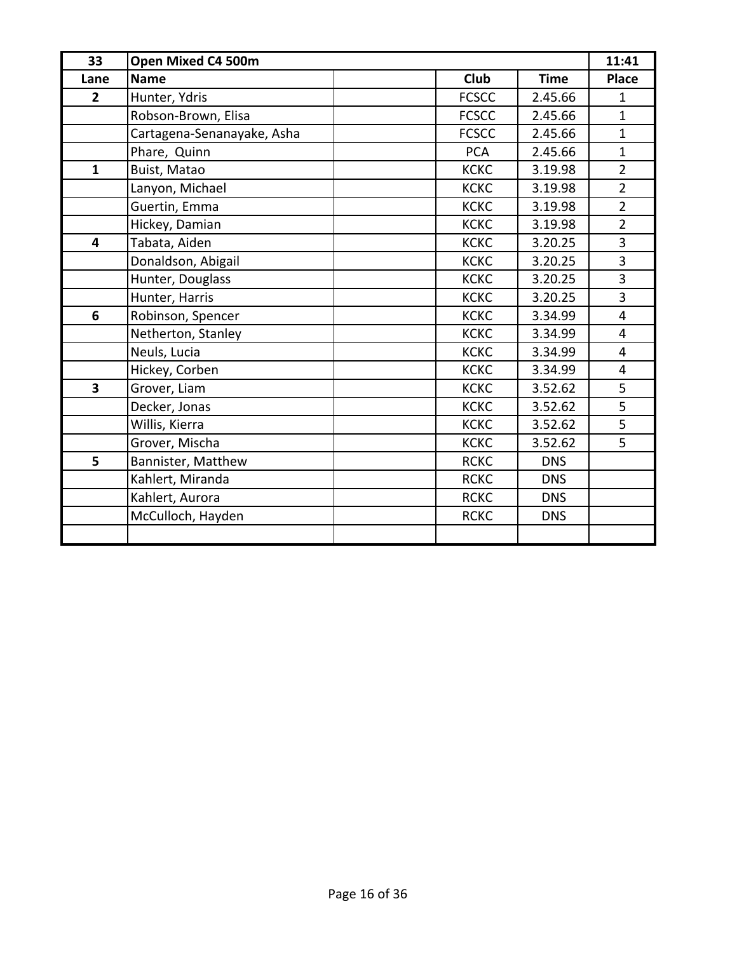| 33                      | Open Mixed C4 500m         |              |             | 11:41          |
|-------------------------|----------------------------|--------------|-------------|----------------|
| Lane                    | <b>Name</b>                | <b>Club</b>  | <b>Time</b> | <b>Place</b>   |
| $\overline{2}$          | Hunter, Ydris              | <b>FCSCC</b> | 2.45.66     | 1              |
|                         | Robson-Brown, Elisa        | <b>FCSCC</b> | 2.45.66     | $\mathbf{1}$   |
|                         | Cartagena-Senanayake, Asha | <b>FCSCC</b> | 2.45.66     | $\mathbf{1}$   |
|                         | Phare, Quinn               | <b>PCA</b>   | 2.45.66     | $\mathbf{1}$   |
| $\mathbf{1}$            | Buist, Matao               | <b>KCKC</b>  | 3.19.98     | $\overline{2}$ |
|                         | Lanyon, Michael            | <b>KCKC</b>  | 3.19.98     | $\overline{2}$ |
|                         | Guertin, Emma              | <b>KCKC</b>  | 3.19.98     | $\overline{2}$ |
|                         | Hickey, Damian             | <b>KCKC</b>  | 3.19.98     | $\overline{2}$ |
| $\overline{\mathbf{4}}$ | Tabata, Aiden              | <b>KCKC</b>  | 3.20.25     | 3              |
|                         | Donaldson, Abigail         | <b>KCKC</b>  | 3.20.25     | 3              |
|                         | Hunter, Douglass           | <b>KCKC</b>  | 3.20.25     | 3              |
|                         | Hunter, Harris             | <b>KCKC</b>  | 3.20.25     | 3              |
| 6                       | Robinson, Spencer          | <b>KCKC</b>  | 3.34.99     | $\overline{4}$ |
|                         | Netherton, Stanley         | <b>KCKC</b>  | 3.34.99     | $\overline{4}$ |
|                         | Neuls, Lucia               | <b>KCKC</b>  | 3.34.99     | 4              |
|                         | Hickey, Corben             | <b>KCKC</b>  | 3.34.99     | 4              |
| $\overline{\mathbf{3}}$ | Grover, Liam               | <b>KCKC</b>  | 3.52.62     | 5              |
|                         | Decker, Jonas              | <b>KCKC</b>  | 3.52.62     | 5              |
|                         | Willis, Kierra             | <b>KCKC</b>  | 3.52.62     | 5              |
|                         | Grover, Mischa             | <b>KCKC</b>  | 3.52.62     | 5              |
| 5                       | Bannister, Matthew         | <b>RCKC</b>  | <b>DNS</b>  |                |
|                         | Kahlert, Miranda           | <b>RCKC</b>  | <b>DNS</b>  |                |
|                         | Kahlert, Aurora            | <b>RCKC</b>  | <b>DNS</b>  |                |
|                         | McCulloch, Hayden          | <b>RCKC</b>  | <b>DNS</b>  |                |
|                         |                            |              |             |                |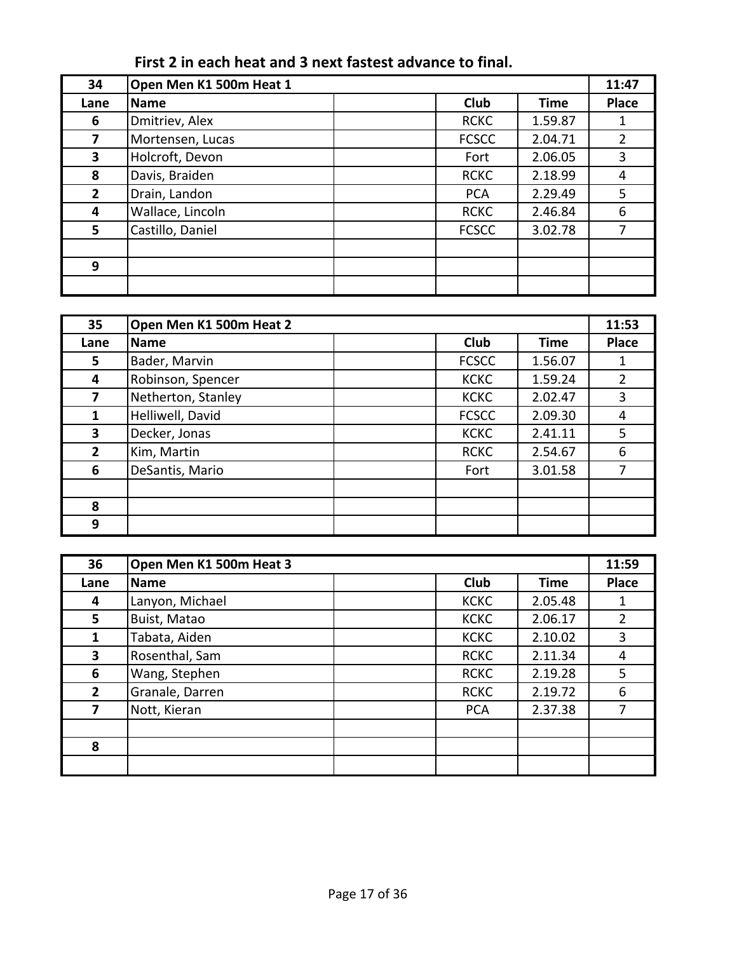| First 2 in each heat and 3 next fastest advance to final. |  |
|-----------------------------------------------------------|--|
|-----------------------------------------------------------|--|

| 34             | Open Men K1 500m Heat 1 |              |             | 11:47        |
|----------------|-------------------------|--------------|-------------|--------------|
| Lane           | Name                    | <b>Club</b>  | <b>Time</b> | <b>Place</b> |
| 6              | Dmitriev, Alex          | <b>RCKC</b>  | 1.59.87     |              |
| 7              | Mortensen, Lucas        | <b>FCSCC</b> | 2.04.71     | 2            |
| 3              | Holcroft, Devon         | Fort         | 2.06.05     | 3            |
| 8              | Davis, Braiden          | <b>RCKC</b>  | 2.18.99     | 4            |
| $\overline{2}$ | Drain, Landon           | <b>PCA</b>   | 2.29.49     | 5            |
| 4              | Wallace, Lincoln        | <b>RCKC</b>  | 2.46.84     | 6            |
| 5              | Castillo, Daniel        | <b>FCSCC</b> | 3.02.78     |              |
|                |                         |              |             |              |
| 9              |                         |              |             |              |
|                |                         |              |             |              |

| 35           | Open Men K1 500m Heat 2 |  |              |             |                |
|--------------|-------------------------|--|--------------|-------------|----------------|
| Lane         | <b>Name</b>             |  | <b>Club</b>  | <b>Time</b> | <b>Place</b>   |
| 5            | Bader, Marvin           |  | <b>FCSCC</b> | 1.56.07     |                |
| 4            | Robinson, Spencer       |  | <b>KCKC</b>  | 1.59.24     | $\overline{2}$ |
| 7            | Netherton, Stanley      |  | <b>KCKC</b>  | 2.02.47     | 3              |
| 1            | Helliwell, David        |  | <b>FCSCC</b> | 2.09.30     | 4              |
| 3            | Decker, Jonas           |  | <b>KCKC</b>  | 2.41.11     | 5              |
| $\mathbf{2}$ | Kim, Martin             |  | <b>RCKC</b>  | 2.54.67     | 6              |
| 6            | DeSantis, Mario         |  | Fort         | 3.01.58     | 7              |
|              |                         |  |              |             |                |
| 8            |                         |  |              |             |                |
| 9            |                         |  |              |             |                |

| 36             | Open Men K1 500m Heat 3 |  |             | 11:59       |                |
|----------------|-------------------------|--|-------------|-------------|----------------|
| Lane           | <b>Name</b>             |  | <b>Club</b> | <b>Time</b> | <b>Place</b>   |
| 4              | Lanyon, Michael         |  | <b>KCKC</b> | 2.05.48     | 1              |
| 5              | Buist, Matao            |  | <b>KCKC</b> | 2.06.17     | $\overline{2}$ |
| 1              | Tabata, Aiden           |  | <b>KCKC</b> | 2.10.02     | 3              |
| 3              | Rosenthal, Sam          |  | <b>RCKC</b> | 2.11.34     | 4              |
| 6              | Wang, Stephen           |  | <b>RCKC</b> | 2.19.28     | 5              |
| $\overline{2}$ | Granale, Darren         |  | <b>RCKC</b> | 2.19.72     | 6              |
| 7              | Nott, Kieran            |  | <b>PCA</b>  | 2.37.38     | 7              |
|                |                         |  |             |             |                |
| 8              |                         |  |             |             |                |
|                |                         |  |             |             |                |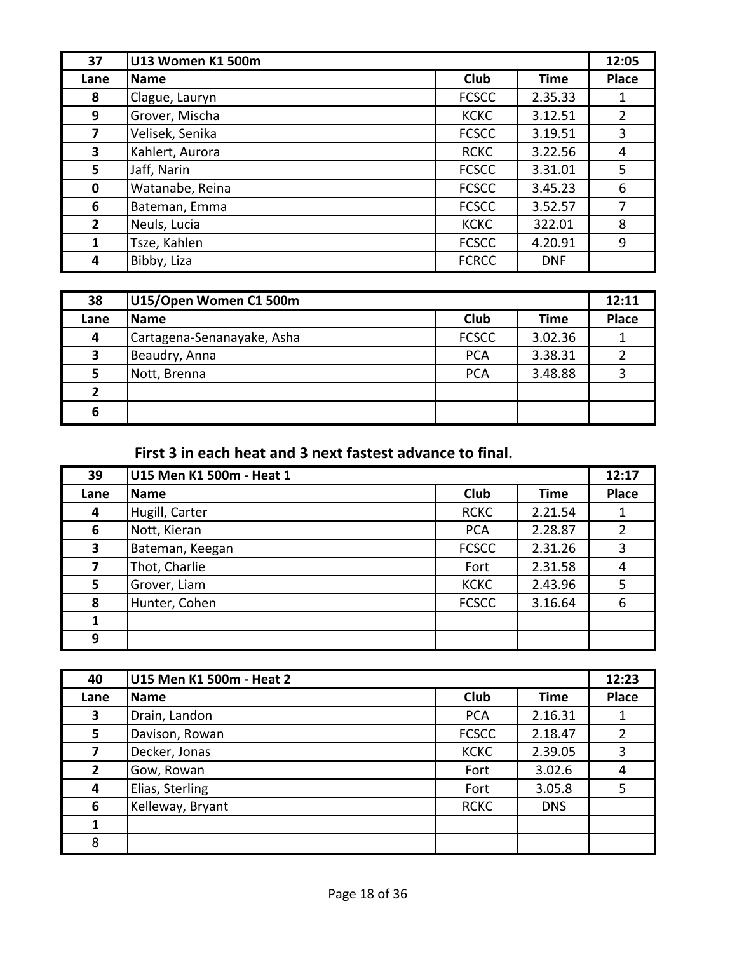| 37             | U13 Women K1 500m |  |              | 12:05       |       |
|----------------|-------------------|--|--------------|-------------|-------|
| Lane           | <b>Name</b>       |  | <b>Club</b>  | <b>Time</b> | Place |
| 8              | Clague, Lauryn    |  | <b>FCSCC</b> | 2.35.33     | 1     |
| 9              | Grover, Mischa    |  | <b>KCKC</b>  | 3.12.51     | 2     |
| 7              | Velisek, Senika   |  | <b>FCSCC</b> | 3.19.51     | 3     |
| 3              | Kahlert, Aurora   |  | <b>RCKC</b>  | 3.22.56     | 4     |
| 5              | Jaff, Narin       |  | <b>FCSCC</b> | 3.31.01     | 5     |
| $\mathbf 0$    | Watanabe, Reina   |  | <b>FCSCC</b> | 3.45.23     | 6     |
| 6              | Bateman, Emma     |  | <b>FCSCC</b> | 3.52.57     | 7     |
| $\overline{2}$ | Neuls, Lucia      |  | <b>KCKC</b>  | 322.01      | 8     |
| 1              | Tsze, Kahlen      |  | <b>FCSCC</b> | 4.20.91     | 9     |
| 4              | Bibby, Liza       |  | <b>FCRCC</b> | <b>DNF</b>  |       |

| 38   | U15/Open Women C1 500m     |              |         | 12:11        |
|------|----------------------------|--------------|---------|--------------|
| Lane | <b>Name</b>                | Club         | Time    | <b>Place</b> |
| 4    | Cartagena-Senanayake, Asha | <b>FCSCC</b> | 3.02.36 |              |
| 3    | Beaudry, Anna              | <b>PCA</b>   | 3.38.31 |              |
| 5    | Nott, Brenna               | <b>PCA</b>   | 3.48.88 |              |
| 2    |                            |              |         |              |
| 6    |                            |              |         |              |

First 3 in each heat and 3 next fastest advance to final.

| 39   | U15 Men K1 500m - Heat 1 |              |             | 12:17        |
|------|--------------------------|--------------|-------------|--------------|
| Lane | <b>Name</b>              | <b>Club</b>  | <b>Time</b> | <b>Place</b> |
| 4    | Hugill, Carter           | <b>RCKC</b>  | 2.21.54     |              |
| 6    | Nott, Kieran             | <b>PCA</b>   | 2.28.87     |              |
| 3    | Bateman, Keegan          | <b>FCSCC</b> | 2.31.26     | 3            |
| 7    | Thot, Charlie            | Fort         | 2.31.58     | 4            |
| 5    | Grover, Liam             | <b>KCKC</b>  | 2.43.96     | 5            |
| 8    | Hunter, Cohen            | <b>FCSCC</b> | 3.16.64     | 6            |
|      |                          |              |             |              |
| 9    |                          |              |             |              |

| 40           | U15 Men K1 500m - Heat 2 |              |            | 12:23        |
|--------------|--------------------------|--------------|------------|--------------|
| Lane         | <b>Name</b>              | <b>Club</b>  | Time       | <b>Place</b> |
| 3            | Drain, Landon            | <b>PCA</b>   | 2.16.31    |              |
| 5            | Davison, Rowan           | <b>FCSCC</b> | 2.18.47    |              |
| 7            | Decker, Jonas            | <b>KCKC</b>  | 2.39.05    |              |
| $\mathbf{2}$ | Gow, Rowan               | Fort         | 3.02.6     |              |
| 4            | Elias, Sterling          | Fort         | 3.05.8     |              |
| 6            | Kelleway, Bryant         | <b>RCKC</b>  | <b>DNS</b> |              |
|              |                          |              |            |              |
| 8            |                          |              |            |              |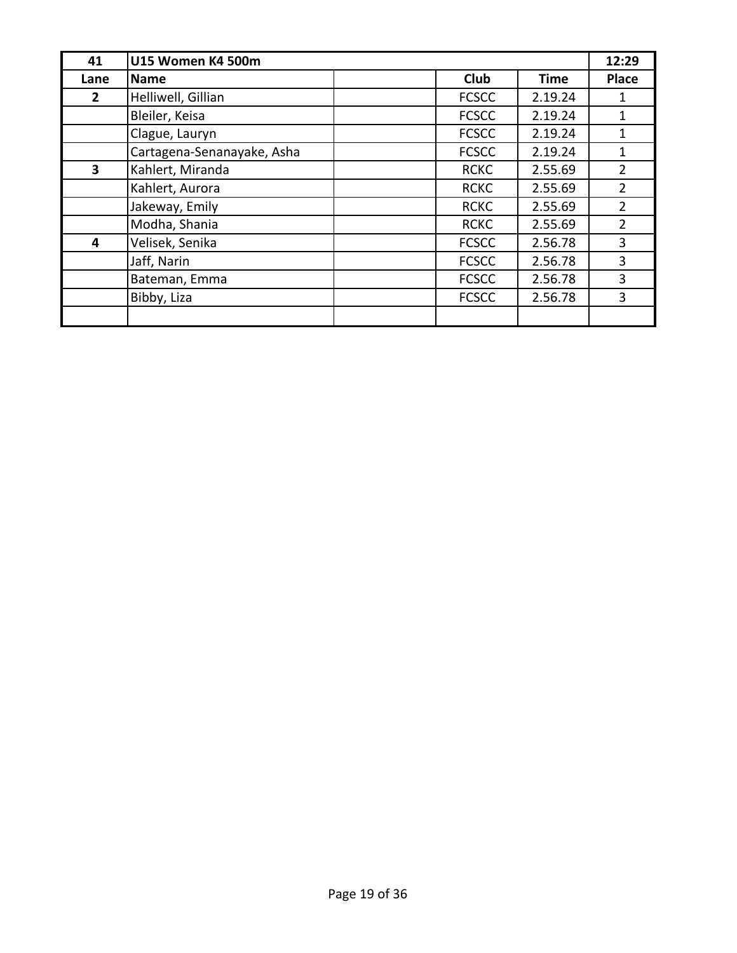| 41                      | U15 Women K4 500m          |              |             | 12:29          |
|-------------------------|----------------------------|--------------|-------------|----------------|
| Lane                    | <b>Name</b>                | <b>Club</b>  | <b>Time</b> | <b>Place</b>   |
| $\mathbf{2}$            | Helliwell, Gillian         | <b>FCSCC</b> | 2.19.24     | 1              |
|                         | Bleiler, Keisa             | <b>FCSCC</b> | 2.19.24     | 1              |
|                         | Clague, Lauryn             | <b>FCSCC</b> | 2.19.24     | 1              |
|                         | Cartagena-Senanayake, Asha | <b>FCSCC</b> | 2.19.24     | 1              |
| $\overline{\mathbf{3}}$ | Kahlert, Miranda           | <b>RCKC</b>  | 2.55.69     | 2              |
|                         | Kahlert, Aurora            | <b>RCKC</b>  | 2.55.69     | $\overline{2}$ |
|                         | Jakeway, Emily             | <b>RCKC</b>  | 2.55.69     | 2              |
|                         | Modha, Shania              | <b>RCKC</b>  | 2.55.69     | 2              |
| 4                       | Velisek, Senika            | <b>FCSCC</b> | 2.56.78     | 3              |
|                         | Jaff, Narin                | <b>FCSCC</b> | 2.56.78     | 3              |
|                         | Bateman, Emma              | <b>FCSCC</b> | 2.56.78     | 3              |
|                         | Bibby, Liza                | <b>FCSCC</b> | 2.56.78     | 3              |
|                         |                            |              |             |                |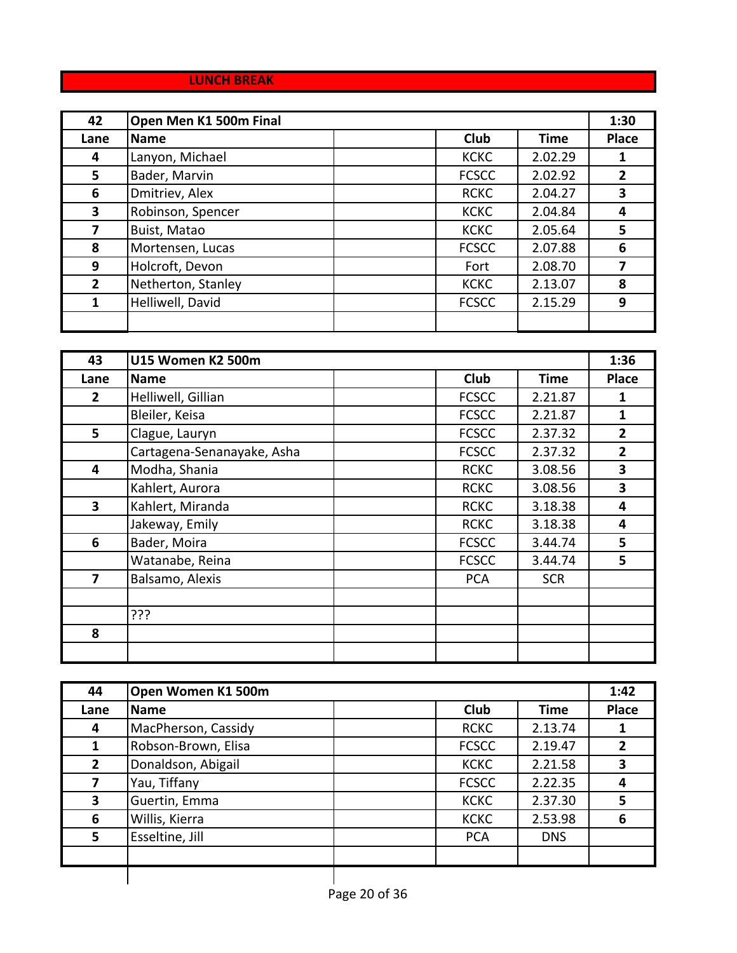### **LUNCH BREAK**

| 42           | Open Men K1 500m Final |  |              |             | 1:30         |
|--------------|------------------------|--|--------------|-------------|--------------|
| Lane         | <b>Name</b>            |  | <b>Club</b>  | <b>Time</b> | <b>Place</b> |
| 4            | Lanyon, Michael        |  | <b>KCKC</b>  | 2.02.29     |              |
| 5            | Bader, Marvin          |  | <b>FCSCC</b> | 2.02.92     | $\mathbf{2}$ |
| 6            | Dmitriev, Alex         |  | <b>RCKC</b>  | 2.04.27     | 3            |
| 3            | Robinson, Spencer      |  | <b>KCKC</b>  | 2.04.84     | 4            |
| 7            | Buist, Matao           |  | <b>KCKC</b>  | 2.05.64     | 5            |
| 8            | Mortensen, Lucas       |  | <b>FCSCC</b> | 2.07.88     | 6            |
| 9            | Holcroft, Devon        |  | Fort         | 2.08.70     |              |
| $\mathbf{2}$ | Netherton, Stanley     |  | <b>KCKC</b>  | 2.13.07     | 8            |
| 1            | Helliwell, David       |  | <b>FCSCC</b> | 2.15.29     | 9            |
|              |                        |  |              |             |              |

| 43           | <b>U15 Women K2 500m</b>   |              |             | 1:36           |
|--------------|----------------------------|--------------|-------------|----------------|
| Lane         | <b>Name</b>                | <b>Club</b>  | <b>Time</b> | <b>Place</b>   |
| 2            | Helliwell, Gillian         | <b>FCSCC</b> | 2.21.87     | 1              |
|              | Bleiler, Keisa             | <b>FCSCC</b> | 2.21.87     | 1              |
| 5            | Clague, Lauryn             | <b>FCSCC</b> | 2.37.32     | $\overline{2}$ |
|              | Cartagena-Senanayake, Asha | <b>FCSCC</b> | 2.37.32     | $\overline{2}$ |
| 4            | Modha, Shania              | <b>RCKC</b>  | 3.08.56     | 3              |
|              | Kahlert, Aurora            | <b>RCKC</b>  | 3.08.56     | 3              |
| $\mathbf{3}$ | Kahlert, Miranda           | <b>RCKC</b>  | 3.18.38     | 4              |
|              | Jakeway, Emily             | <b>RCKC</b>  | 3.18.38     | 4              |
| 6            | Bader, Moira               | <b>FCSCC</b> | 3.44.74     | 5              |
|              | Watanabe, Reina            | <b>FCSCC</b> | 3.44.74     | 5              |
| 7            | Balsamo, Alexis            | <b>PCA</b>   | <b>SCR</b>  |                |
|              |                            |              |             |                |
|              | ???                        |              |             |                |
| 8            |                            |              |             |                |
|              |                            |              |             |                |

| 44           | Open Women K1 500m  |                            |              |  |
|--------------|---------------------|----------------------------|--------------|--|
| Lane         | <b>Name</b>         | <b>Club</b><br><b>Time</b> | <b>Place</b> |  |
| 4            | MacPherson, Cassidy | <b>RCKC</b><br>2.13.74     |              |  |
|              | Robson-Brown, Elisa | <b>FCSCC</b><br>2.19.47    |              |  |
| $\mathbf{2}$ | Donaldson, Abigail  | <b>KCKC</b><br>2.21.58     | 3            |  |
| 7            | Yau, Tiffany        | 2.22.35<br><b>FCSCC</b>    | 4            |  |
| 3            | Guertin, Emma       | 2.37.30<br><b>KCKC</b>     | 5            |  |
| 6            | Willis, Kierra      | 2.53.98<br><b>KCKC</b>     | -6           |  |
| 5.           | Esseltine, Jill     | <b>PCA</b><br><b>DNS</b>   |              |  |
|              |                     |                            |              |  |
|              |                     |                            |              |  |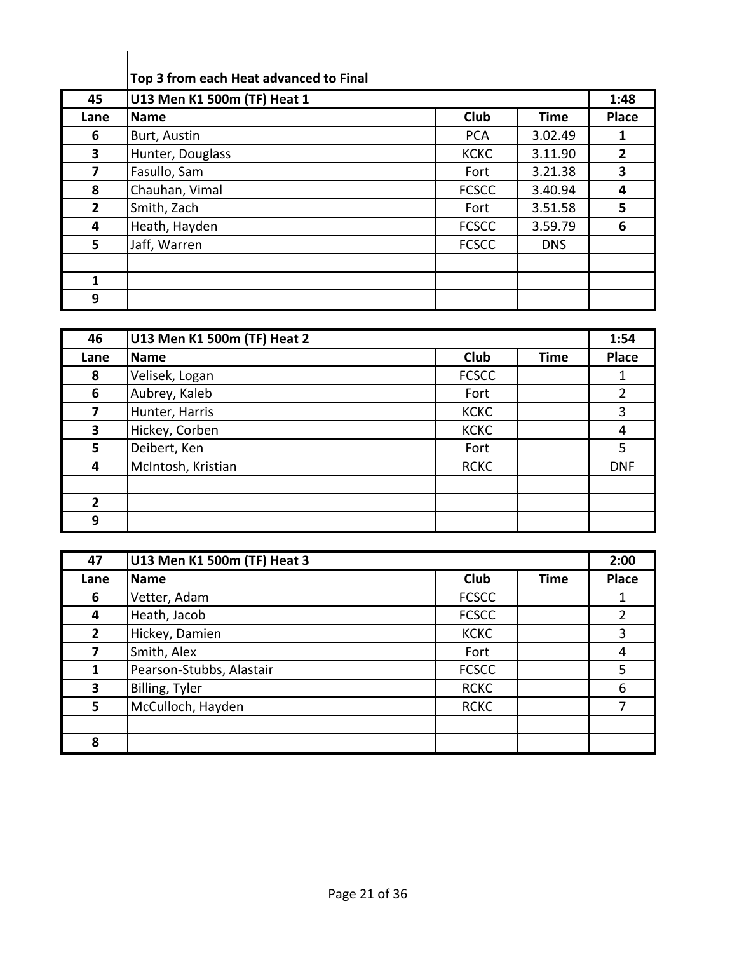| Top 3 from each Heat advanced to Final |  |
|----------------------------------------|--|

| 45                      | U13 Men K1 500m (TF) Heat 1 |              |             | 1:48           |
|-------------------------|-----------------------------|--------------|-------------|----------------|
| Lane                    | Name                        | <b>Club</b>  | <b>Time</b> | Place          |
| 6                       | Burt, Austin                | <b>PCA</b>   | 3.02.49     | 1              |
| $\overline{\mathbf{3}}$ | Hunter, Douglass            | <b>KCKC</b>  | 3.11.90     | $\overline{2}$ |
| 7                       | Fasullo, Sam                | Fort         | 3.21.38     | 3              |
| 8                       | Chauhan, Vimal              | <b>FCSCC</b> | 3.40.94     | 4              |
| $\overline{2}$          | Smith, Zach                 | Fort         | 3.51.58     | 5              |
| 4                       | Heath, Hayden               | <b>FCSCC</b> | 3.59.79     | 6              |
| 5                       | Jaff, Warren                | <b>FCSCC</b> | <b>DNS</b>  |                |
|                         |                             |              |             |                |
| 1                       |                             |              |             |                |
| 9                       |                             |              |             |                |

| 46             | U13 Men K1 500m (TF) Heat 2 |              |             | 1:54         |
|----------------|-----------------------------|--------------|-------------|--------------|
| Lane           | Name                        | <b>Club</b>  | <b>Time</b> | <b>Place</b> |
| 8              | Velisek, Logan              | <b>FCSCC</b> |             |              |
| 6              | Aubrey, Kaleb               | Fort         |             | 2            |
|                | Hunter, Harris              | <b>KCKC</b>  |             | 3            |
| 3              | Hickey, Corben              | <b>KCKC</b>  |             | 4            |
| 5.             | Deibert, Ken                | Fort         |             | 5            |
| 4              | McIntosh, Kristian          | <b>RCKC</b>  |             | <b>DNF</b>   |
|                |                             |              |             |              |
| $\overline{2}$ |                             |              |             |              |
| 9              |                             |              |             |              |

| 47             | U13 Men K1 500m (TF) Heat 3 |                     | 2:00  |
|----------------|-----------------------------|---------------------|-------|
| Lane           | <b>Name</b>                 | Club<br><b>Time</b> | Place |
| 6              | Vetter, Adam                | <b>FCSCC</b>        |       |
| 4              | Heath, Jacob                | <b>FCSCC</b>        | 2     |
| $\overline{2}$ | Hickey, Damien              | <b>KCKC</b>         | 3     |
| 7              | Smith, Alex                 | Fort                | 4     |
| 1              | Pearson-Stubbs, Alastair    | <b>FCSCC</b>        | 5     |
| 3              | Billing, Tyler              | <b>RCKC</b>         | 6     |
| $5\phantom{.}$ | McCulloch, Hayden           | <b>RCKC</b>         | 7     |
|                |                             |                     |       |
| 8              |                             |                     |       |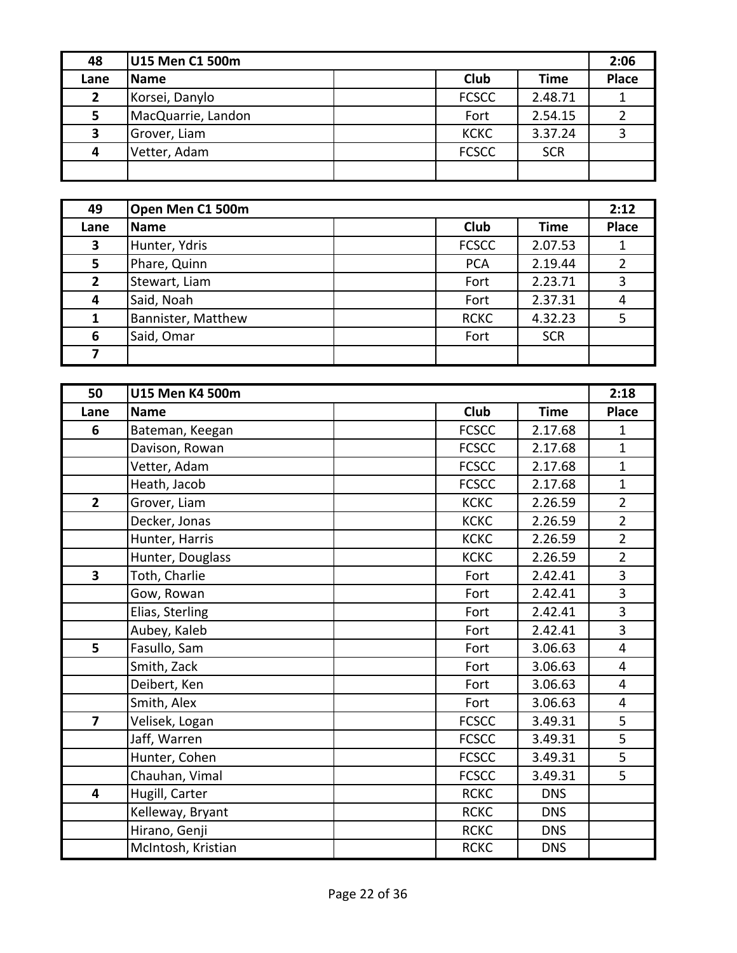| 48             | U15 Men C1 500m    |              |            | 2:06         |
|----------------|--------------------|--------------|------------|--------------|
| Lane           | <b>Name</b>        | Club         | Time       | <b>Place</b> |
| $\overline{2}$ | Korsei, Danylo     | <b>FCSCC</b> | 2.48.71    |              |
| 5              | MacQuarrie, Landon | Fort         | 2.54.15    |              |
| 3              | Grover, Liam       | <b>KCKC</b>  | 3.37.24    |              |
| 4              | Vetter, Adam       | <b>FCSCC</b> | <b>SCR</b> |              |
|                |                    |              |            |              |

| 49             | Open Men C1 500m   |              |             | 2:12         |
|----------------|--------------------|--------------|-------------|--------------|
| Lane           | <b>Name</b>        | <b>Club</b>  | <b>Time</b> | <b>Place</b> |
| 3              | Hunter, Ydris      | <b>FCSCC</b> | 2.07.53     |              |
| 5              | Phare, Quinn       | <b>PCA</b>   | 2.19.44     |              |
| $\overline{2}$ | Stewart, Liam      | Fort         | 2.23.71     | 3            |
| 4              | Said, Noah         | Fort         | 2.37.31     | 4            |
|                | Bannister, Matthew | <b>RCKC</b>  | 4.32.23     | 5            |
| 6              | Said, Omar         | Fort         | <b>SCR</b>  |              |
|                |                    |              |             |              |

| 50             | <b>U15 Men K4 500m</b> |              |             | 2:18           |
|----------------|------------------------|--------------|-------------|----------------|
| Lane           | <b>Name</b>            | <b>Club</b>  | <b>Time</b> | <b>Place</b>   |
| 6              | Bateman, Keegan        | <b>FCSCC</b> | 2.17.68     | 1              |
|                | Davison, Rowan         | <b>FCSCC</b> | 2.17.68     | $\mathbf{1}$   |
|                | Vetter, Adam           | <b>FCSCC</b> | 2.17.68     | $\mathbf{1}$   |
|                | Heath, Jacob           | <b>FCSCC</b> | 2.17.68     | $\mathbf{1}$   |
| $\overline{2}$ | Grover, Liam           | <b>KCKC</b>  | 2.26.59     | $\overline{2}$ |
|                | Decker, Jonas          | <b>KCKC</b>  | 2.26.59     | $\overline{2}$ |
|                | Hunter, Harris         | <b>KCKC</b>  | 2.26.59     | $\overline{2}$ |
|                | Hunter, Douglass       | <b>KCKC</b>  | 2.26.59     | $\overline{2}$ |
| 3              | Toth, Charlie          | Fort         | 2.42.41     | 3              |
|                | Gow, Rowan             | Fort         | 2.42.41     | 3              |
|                | Elias, Sterling        | Fort         | 2.42.41     | 3              |
|                | Aubey, Kaleb           | Fort         | 2.42.41     | 3              |
| 5              | Fasullo, Sam           | Fort         | 3.06.63     | $\overline{4}$ |
|                | Smith, Zack            | Fort         | 3.06.63     | $\overline{4}$ |
|                | Deibert, Ken           | Fort         | 3.06.63     | 4              |
|                | Smith, Alex            | Fort         | 3.06.63     | $\overline{4}$ |
| $\overline{7}$ | Velisek, Logan         | <b>FCSCC</b> | 3.49.31     | 5              |
|                | Jaff, Warren           | <b>FCSCC</b> | 3.49.31     | 5              |
|                | Hunter, Cohen          | <b>FCSCC</b> | 3.49.31     | 5              |
|                | Chauhan, Vimal         | <b>FCSCC</b> | 3.49.31     | 5              |
| 4              | Hugill, Carter         | <b>RCKC</b>  | <b>DNS</b>  |                |
|                | Kelleway, Bryant       | <b>RCKC</b>  | <b>DNS</b>  |                |
|                | Hirano, Genji          | <b>RCKC</b>  | <b>DNS</b>  |                |
|                | McIntosh, Kristian     | <b>RCKC</b>  | <b>DNS</b>  |                |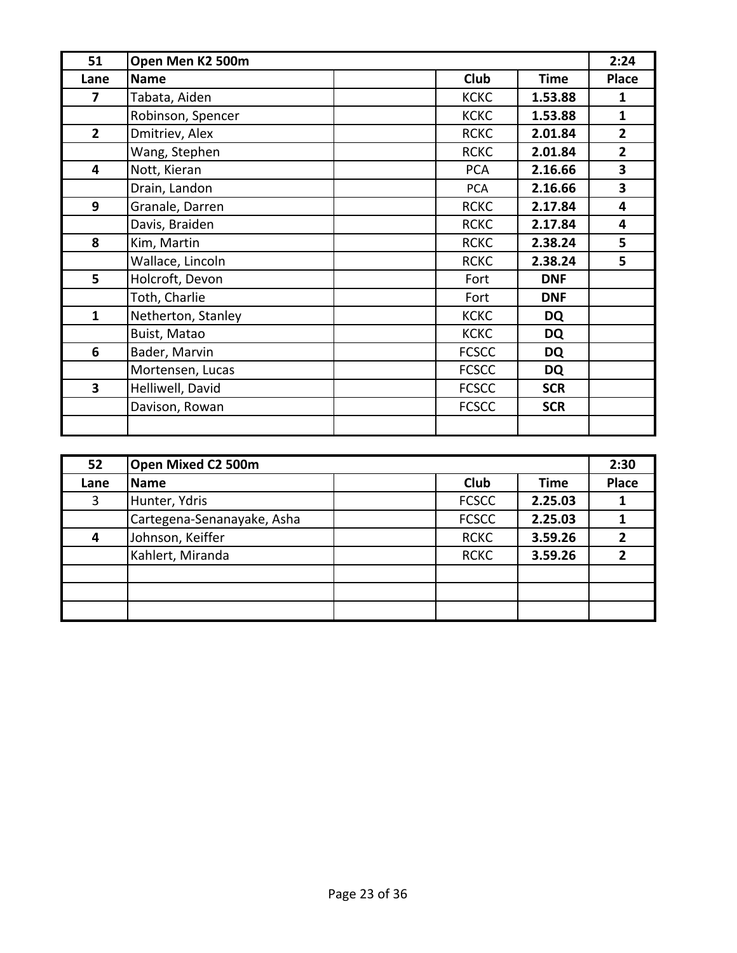| 51             | Open Men K2 500m   |                            | 2:24                    |
|----------------|--------------------|----------------------------|-------------------------|
| Lane           | <b>Name</b>        | Club<br><b>Time</b>        | <b>Place</b>            |
| 7              | Tabata, Aiden      | <b>KCKC</b><br>1.53.88     | 1                       |
|                | Robinson, Spencer  | <b>KCKC</b><br>1.53.88     | $\mathbf{1}$            |
| $\overline{2}$ | Dmitriev, Alex     | <b>RCKC</b><br>2.01.84     | $\overline{2}$          |
|                | Wang, Stephen      | <b>RCKC</b><br>2.01.84     | $\overline{2}$          |
| 4              | Nott, Kieran       | <b>PCA</b><br>2.16.66      | 3                       |
|                | Drain, Landon      | 2.16.66<br><b>PCA</b>      | $\overline{\mathbf{3}}$ |
| 9              | Granale, Darren    | <b>RCKC</b><br>2.17.84     | 4                       |
|                | Davis, Braiden     | <b>RCKC</b><br>2.17.84     | 4                       |
| 8              | Kim, Martin        | <b>RCKC</b><br>2.38.24     | 5                       |
|                | Wallace, Lincoln   | 2.38.24<br><b>RCKC</b>     | 5                       |
| 5              | Holcroft, Devon    | Fort<br><b>DNF</b>         |                         |
|                | Toth, Charlie      | Fort<br><b>DNF</b>         |                         |
| $\mathbf{1}$   | Netherton, Stanley | <b>KCKC</b><br>DQ          |                         |
|                | Buist, Matao       | <b>KCKC</b><br>DQ          |                         |
| 6              | Bader, Marvin      | <b>FCSCC</b><br>DQ         |                         |
|                | Mortensen, Lucas   | <b>FCSCC</b><br>DQ         |                         |
| 3              | Helliwell, David   | <b>FCSCC</b><br><b>SCR</b> |                         |
|                | Davison, Rowan     | <b>FCSCC</b><br><b>SCR</b> |                         |
|                |                    |                            |                         |

| 52   | Open Mixed C2 500m         |              |             | 2:30         |
|------|----------------------------|--------------|-------------|--------------|
| Lane | Name                       | <b>Club</b>  | <b>Time</b> | <b>Place</b> |
| 3    | Hunter, Ydris              | <b>FCSCC</b> | 2.25.03     |              |
|      | Cartegena-Senanayake, Asha | <b>FCSCC</b> | 2.25.03     |              |
| 4    | Johnson, Keiffer           | <b>RCKC</b>  | 3.59.26     |              |
|      | Kahlert, Miranda           | <b>RCKC</b>  | 3.59.26     |              |
|      |                            |              |             |              |
|      |                            |              |             |              |
|      |                            |              |             |              |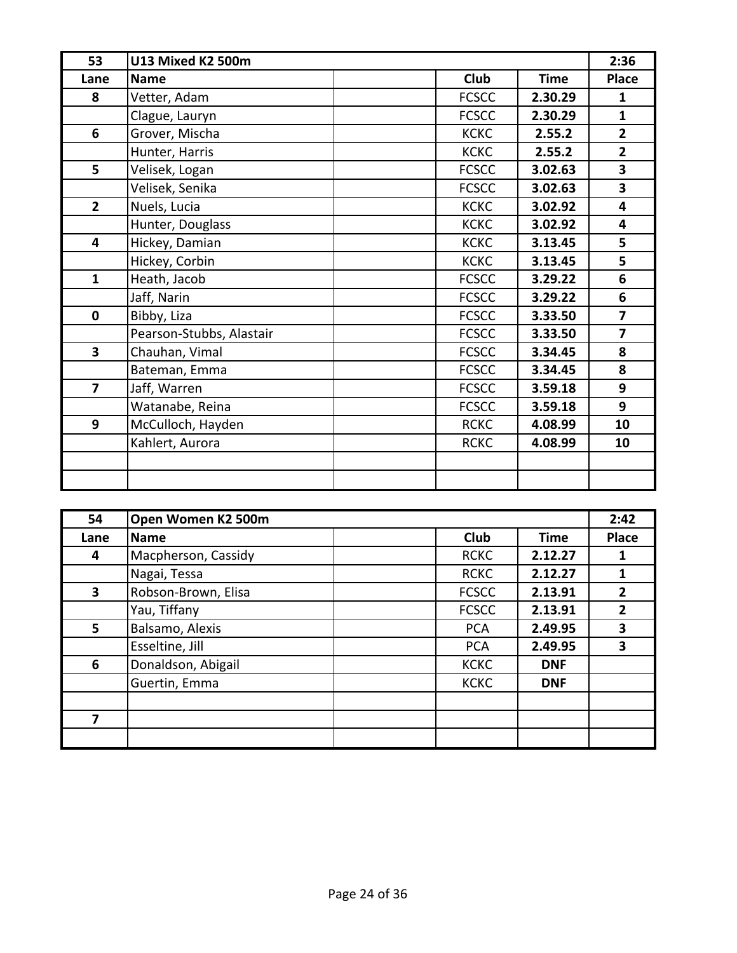| 53             | U13 Mixed K2 500m        |              |             | 2:36                    |
|----------------|--------------------------|--------------|-------------|-------------------------|
| Lane           | <b>Name</b>              | <b>Club</b>  | <b>Time</b> | <b>Place</b>            |
| 8              | Vetter, Adam             | <b>FCSCC</b> | 2.30.29     | $\mathbf{1}$            |
|                | Clague, Lauryn           | <b>FCSCC</b> | 2.30.29     | $\mathbf{1}$            |
| 6              | Grover, Mischa           | <b>KCKC</b>  | 2.55.2      | $\overline{2}$          |
|                | Hunter, Harris           | <b>KCKC</b>  | 2.55.2      | $\overline{2}$          |
| 5              | Velisek, Logan           | <b>FCSCC</b> | 3.02.63     | $\overline{\mathbf{3}}$ |
|                | Velisek, Senika          | <b>FCSCC</b> | 3.02.63     | 3                       |
| $\overline{2}$ | Nuels, Lucia             | <b>KCKC</b>  | 3.02.92     | 4                       |
|                | Hunter, Douglass         | <b>KCKC</b>  | 3.02.92     | 4                       |
| 4              | Hickey, Damian           | <b>KCKC</b>  | 3.13.45     | 5                       |
|                | Hickey, Corbin           | <b>KCKC</b>  | 3.13.45     | 5                       |
| $\mathbf{1}$   | Heath, Jacob             | <b>FCSCC</b> | 3.29.22     | 6                       |
|                | Jaff, Narin              | <b>FCSCC</b> | 3.29.22     | 6                       |
| $\mathbf 0$    | Bibby, Liza              | <b>FCSCC</b> | 3.33.50     | $\overline{7}$          |
|                | Pearson-Stubbs, Alastair | <b>FCSCC</b> | 3.33.50     | $\overline{7}$          |
| 3              | Chauhan, Vimal           | <b>FCSCC</b> | 3.34.45     | 8                       |
|                | Bateman, Emma            | <b>FCSCC</b> | 3.34.45     | 8                       |
| $\overline{7}$ | Jaff, Warren             | <b>FCSCC</b> | 3.59.18     | 9                       |
|                | Watanabe, Reina          | <b>FCSCC</b> | 3.59.18     | 9                       |
| 9              | McCulloch, Hayden        | <b>RCKC</b>  | 4.08.99     | 10                      |
|                | Kahlert, Aurora          | <b>RCKC</b>  | 4.08.99     | 10                      |
|                |                          |              |             |                         |
|                |                          |              |             |                         |

| 54                      | Open Women K2 500m  |              |             | 2:42         |
|-------------------------|---------------------|--------------|-------------|--------------|
| Lane                    | <b>Name</b>         | <b>Club</b>  | <b>Time</b> | <b>Place</b> |
| 4                       | Macpherson, Cassidy | <b>RCKC</b>  | 2.12.27     |              |
|                         | Nagai, Tessa        | <b>RCKC</b>  | 2.12.27     |              |
| $\overline{\mathbf{3}}$ | Robson-Brown, Elisa | <b>FCSCC</b> | 2.13.91     | 2            |
|                         | Yau, Tiffany        | <b>FCSCC</b> | 2.13.91     | 2            |
| 5                       | Balsamo, Alexis     | <b>PCA</b>   | 2.49.95     | 3            |
|                         | Esseltine, Jill     | <b>PCA</b>   | 2.49.95     | 3            |
| 6                       | Donaldson, Abigail  | <b>KCKC</b>  | <b>DNF</b>  |              |
|                         | Guertin, Emma       | <b>KCKC</b>  | <b>DNF</b>  |              |
|                         |                     |              |             |              |
| 7                       |                     |              |             |              |
|                         |                     |              |             |              |